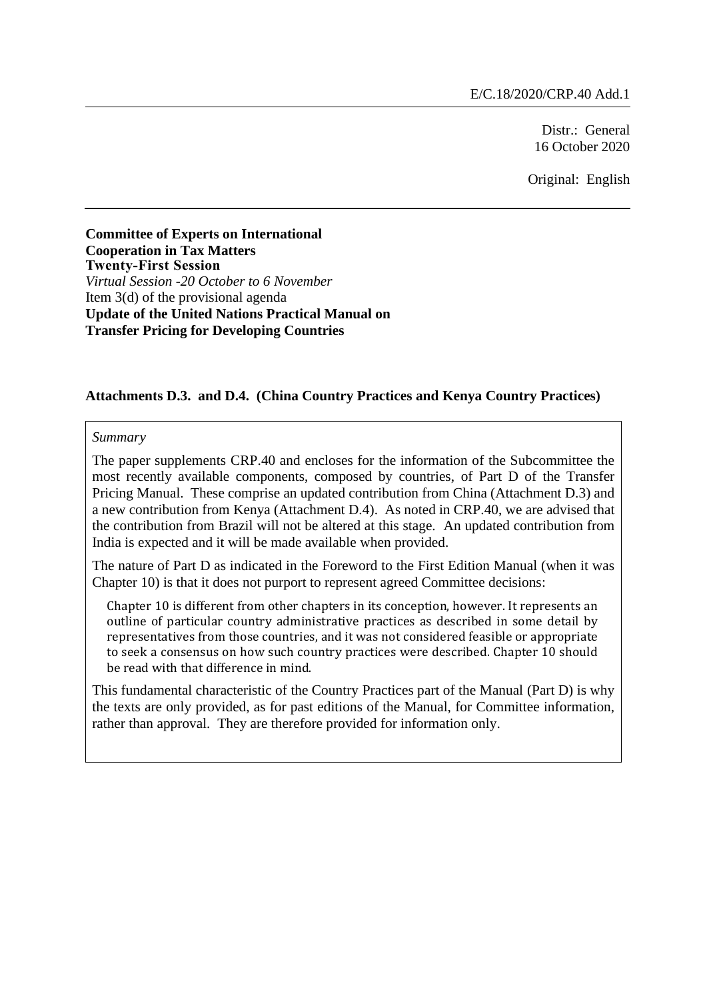Distr.: General 16 October 2020

Original: English

**Committee of Experts on International Cooperation in Tax Matters Twenty-First Session** *Virtual Session -20 October to 6 November* Item 3(d) of the provisional agenda **Update of the United Nations Practical Manual on Transfer Pricing for Developing Countries**

#### **Attachments D.3. and D.4. (China Country Practices and Kenya Country Practices)**

#### *Summary*

The paper supplements CRP.40 and encloses for the information of the Subcommittee the most recently available components, composed by countries, of Part D of the Transfer Pricing Manual. These comprise an updated contribution from China (Attachment D.3) and a new contribution from Kenya (Attachment D.4). As noted in CRP.40, we are advised that the contribution from Brazil will not be altered at this stage. An updated contribution from India is expected and it will be made available when provided.

The nature of Part D as indicated in the Foreword to the First Edition Manual (when it was Chapter 10) is that it does not purport to represent agreed Committee decisions:

Chapter 10 is different from other chapters in its conception, however. It represents an outline of particular country administrative practices as described in some detail by representatives from those countries, and it was not considered feasible or appropriate to seek a consensus on how such country practices were described. Chapter 10 should be read with that difference in mind.

This fundamental characteristic of the Country Practices part of the Manual (Part D) is why the texts are only provided, as for past editions of the Manual, for Committee information, rather than approval. They are therefore provided for information only.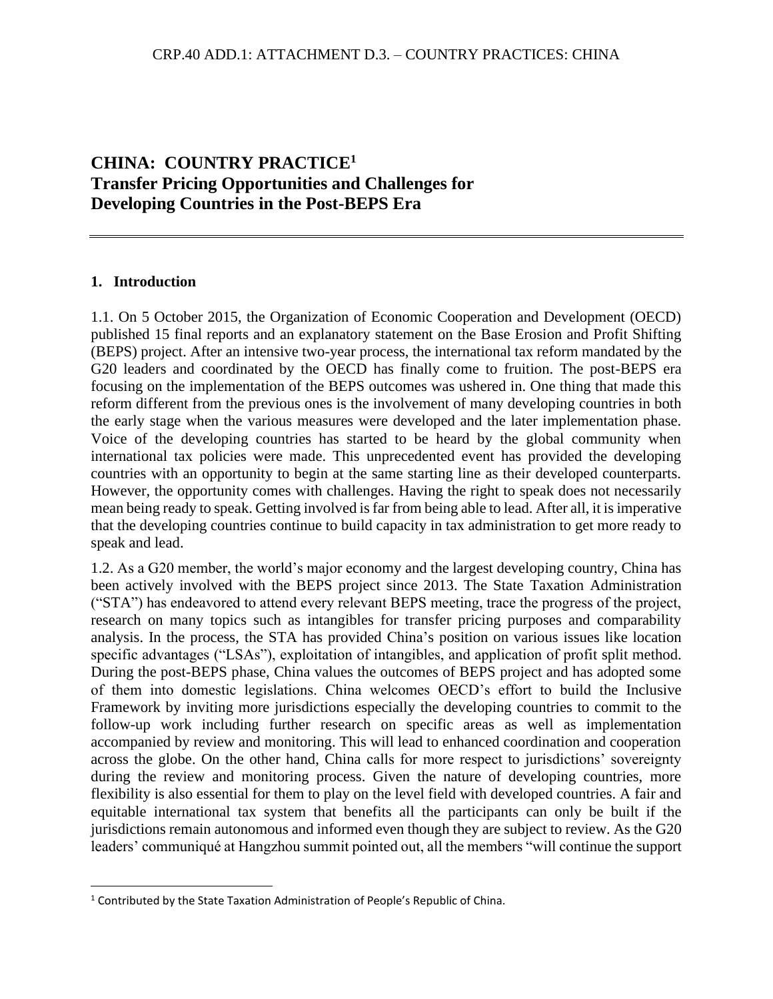# **CHINA: COUNTRY PRACTICE<sup>1</sup> Transfer Pricing Opportunities and Challenges for Developing Countries in the Post-BEPS Era**

#### **1. Introduction**

1.1. On 5 October 2015, the Organization of Economic Cooperation and Development (OECD) published 15 final reports and an explanatory statement on the Base Erosion and Profit Shifting (BEPS) project. After an intensive two-year process, the international tax reform mandated by the G20 leaders and coordinated by the OECD has finally come to fruition. The post-BEPS era focusing on the implementation of the BEPS outcomes was ushered in. One thing that made this reform different from the previous ones is the involvement of many developing countries in both the early stage when the various measures were developed and the later implementation phase. Voice of the developing countries has started to be heard by the global community when international tax policies were made. This unprecedented event has provided the developing countries with an opportunity to begin at the same starting line as their developed counterparts. However, the opportunity comes with challenges. Having the right to speak does not necessarily mean being ready to speak. Getting involved is far from being able to lead. After all, it is imperative that the developing countries continue to build capacity in tax administration to get more ready to speak and lead.

1.2. As a G20 member, the world's major economy and the largest developing country, China has been actively involved with the BEPS project since 2013. The State Taxation Administration ("STA") has endeavored to attend every relevant BEPS meeting, trace the progress of the project, research on many topics such as intangibles for transfer pricing purposes and comparability analysis. In the process, the STA has provided China's position on various issues like location specific advantages ("LSAs"), exploitation of intangibles, and application of profit split method. During the post-BEPS phase, China values the outcomes of BEPS project and has adopted some of them into domestic legislations. China welcomes OECD's effort to build the Inclusive Framework by inviting more jurisdictions especially the developing countries to commit to the follow-up work including further research on specific areas as well as implementation accompanied by review and monitoring. This will lead to enhanced coordination and cooperation across the globe. On the other hand, China calls for more respect to jurisdictions' sovereignty during the review and monitoring process. Given the nature of developing countries, more flexibility is also essential for them to play on the level field with developed countries. A fair and equitable international tax system that benefits all the participants can only be built if the jurisdictions remain autonomous and informed even though they are subject to review. As the G20 leaders' communiqué at Hangzhou summit pointed out, all the members "will continue the support

<sup>&</sup>lt;sup>1</sup> Contributed by the State Taxation Administration of People's Republic of China.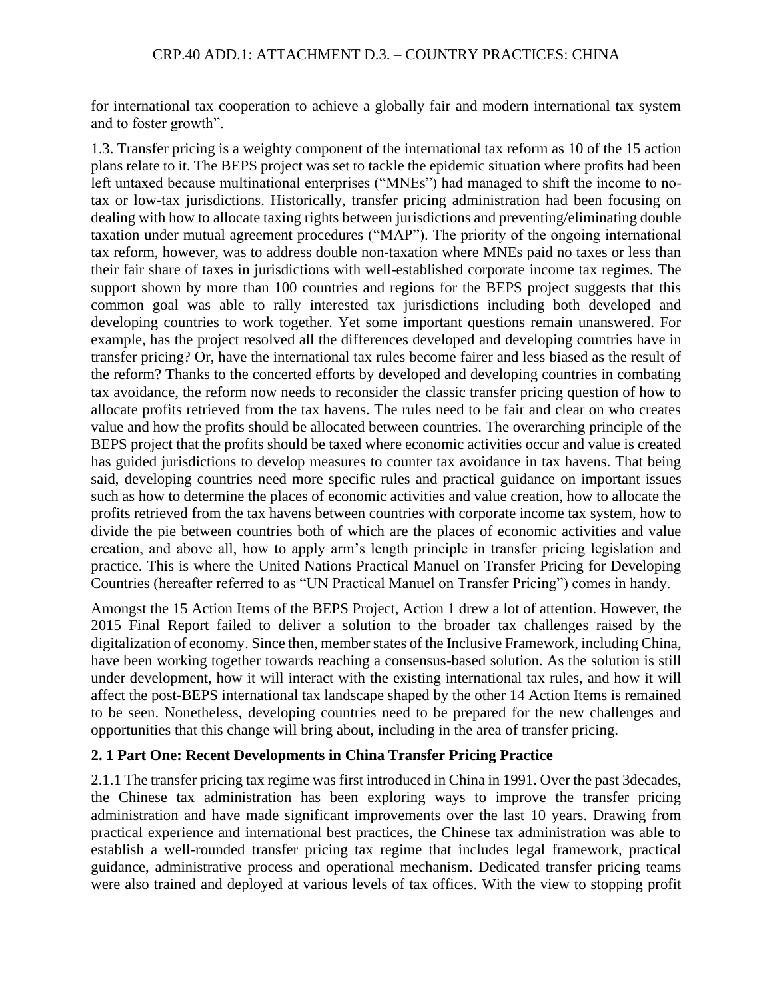for international tax cooperation to achieve a globally fair and modern international tax system and to foster growth".

1.3. Transfer pricing is a weighty component of the international tax reform as 10 of the 15 action plans relate to it. The BEPS project was set to tackle the epidemic situation where profits had been left untaxed because multinational enterprises ("MNEs") had managed to shift the income to notax or low-tax jurisdictions. Historically, transfer pricing administration had been focusing on dealing with how to allocate taxing rights between jurisdictions and preventing/eliminating double taxation under mutual agreement procedures ("MAP"). The priority of the ongoing international tax reform, however, was to address double non-taxation where MNEs paid no taxes or less than their fair share of taxes in jurisdictions with well-established corporate income tax regimes. The support shown by more than 100 countries and regions for the BEPS project suggests that this common goal was able to rally interested tax jurisdictions including both developed and developing countries to work together. Yet some important questions remain unanswered. For example, has the project resolved all the differences developed and developing countries have in transfer pricing? Or, have the international tax rules become fairer and less biased as the result of the reform? Thanks to the concerted efforts by developed and developing countries in combating tax avoidance, the reform now needs to reconsider the classic transfer pricing question of how to allocate profits retrieved from the tax havens. The rules need to be fair and clear on who creates value and how the profits should be allocated between countries. The overarching principle of the BEPS project that the profits should be taxed where economic activities occur and value is created has guided jurisdictions to develop measures to counter tax avoidance in tax havens. That being said, developing countries need more specific rules and practical guidance on important issues such as how to determine the places of economic activities and value creation, how to allocate the profits retrieved from the tax havens between countries with corporate income tax system, how to divide the pie between countries both of which are the places of economic activities and value creation, and above all, how to apply arm's length principle in transfer pricing legislation and practice. This is where the United Nations Practical Manuel on Transfer Pricing for Developing Countries (hereafter referred to as "UN Practical Manuel on Transfer Pricing") comes in handy.

Amongst the 15 Action Items of the BEPS Project, Action 1 drew a lot of attention. However, the 2015 Final Report failed to deliver a solution to the broader tax challenges raised by the digitalization of economy. Since then, member states of the Inclusive Framework, including China, have been working together towards reaching a consensus-based solution. As the solution is still under development, how it will interact with the existing international tax rules, and how it will affect the post-BEPS international tax landscape shaped by the other 14 Action Items is remained to be seen. Nonetheless, developing countries need to be prepared for the new challenges and opportunities that this change will bring about, including in the area of transfer pricing.

## **2. 1 Part One: Recent Developments in China Transfer Pricing Practice**

2.1.1 The transfer pricing tax regime was first introduced in China in 1991. Over the past 3decades, the Chinese tax administration has been exploring ways to improve the transfer pricing administration and have made significant improvements over the last 10 years. Drawing from practical experience and international best practices, the Chinese tax administration was able to establish a well-rounded transfer pricing tax regime that includes legal framework, practical guidance, administrative process and operational mechanism. Dedicated transfer pricing teams were also trained and deployed at various levels of tax offices. With the view to stopping profit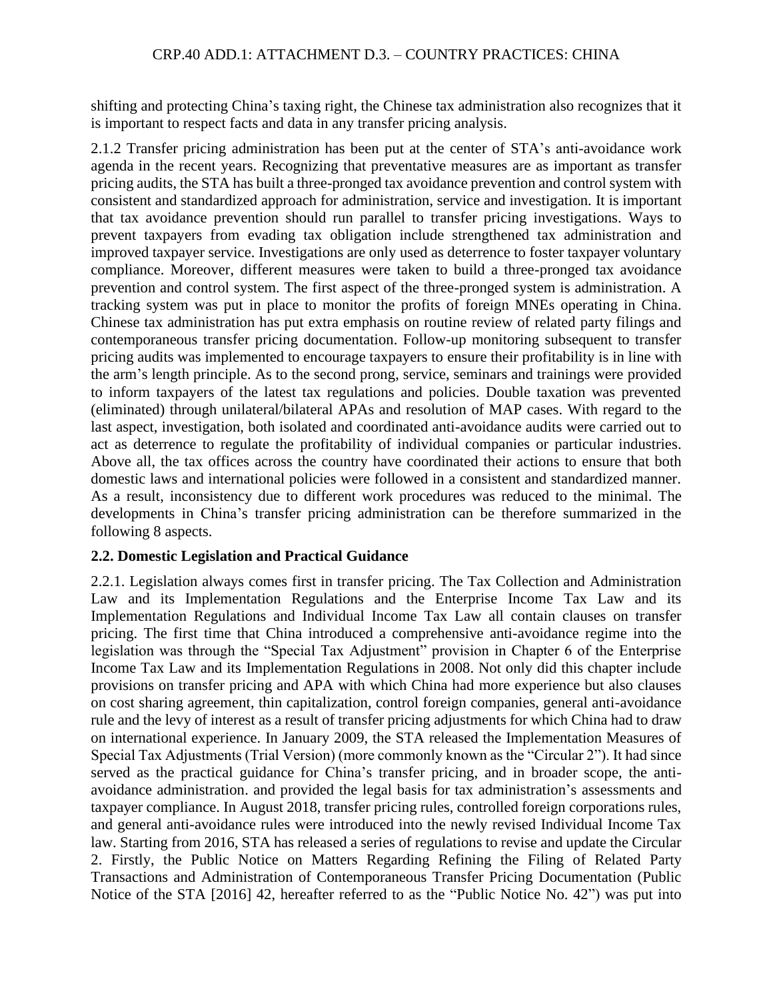shifting and protecting China's taxing right, the Chinese tax administration also recognizes that it is important to respect facts and data in any transfer pricing analysis.

2.1.2 Transfer pricing administration has been put at the center of STA's anti-avoidance work agenda in the recent years. Recognizing that preventative measures are as important as transfer pricing audits, the STA has built a three-pronged tax avoidance prevention and control system with consistent and standardized approach for administration, service and investigation. It is important that tax avoidance prevention should run parallel to transfer pricing investigations. Ways to prevent taxpayers from evading tax obligation include strengthened tax administration and improved taxpayer service. Investigations are only used as deterrence to foster taxpayer voluntary compliance. Moreover, different measures were taken to build a three-pronged tax avoidance prevention and control system. The first aspect of the three-pronged system is administration. A tracking system was put in place to monitor the profits of foreign MNEs operating in China. Chinese tax administration has put extra emphasis on routine review of related party filings and contemporaneous transfer pricing documentation. Follow-up monitoring subsequent to transfer pricing audits was implemented to encourage taxpayers to ensure their profitability is in line with the arm's length principle. As to the second prong, service, seminars and trainings were provided to inform taxpayers of the latest tax regulations and policies. Double taxation was prevented (eliminated) through unilateral/bilateral APAs and resolution of MAP cases. With regard to the last aspect, investigation, both isolated and coordinated anti-avoidance audits were carried out to act as deterrence to regulate the profitability of individual companies or particular industries. Above all, the tax offices across the country have coordinated their actions to ensure that both domestic laws and international policies were followed in a consistent and standardized manner. As a result, inconsistency due to different work procedures was reduced to the minimal. The developments in China's transfer pricing administration can be therefore summarized in the following 8 aspects.

## **2.2. Domestic Legislation and Practical Guidance**

2.2.1. Legislation always comes first in transfer pricing. The Tax Collection and Administration Law and its Implementation Regulations and the Enterprise Income Tax Law and its Implementation Regulations and Individual Income Tax Law all contain clauses on transfer pricing. The first time that China introduced a comprehensive anti-avoidance regime into the legislation was through the "Special Tax Adjustment" provision in Chapter 6 of the Enterprise Income Tax Law and its Implementation Regulations in 2008. Not only did this chapter include provisions on transfer pricing and APA with which China had more experience but also clauses on cost sharing agreement, thin capitalization, control foreign companies, general anti-avoidance rule and the levy of interest as a result of transfer pricing adjustments for which China had to draw on international experience. In January 2009, the STA released the Implementation Measures of Special Tax Adjustments (Trial Version) (more commonly known as the "Circular 2"). It had since served as the practical guidance for China's transfer pricing, and in broader scope, the antiavoidance administration. and provided the legal basis for tax administration's assessments and taxpayer compliance. In August 2018, transfer pricing rules, controlled foreign corporations rules, and general anti-avoidance rules were introduced into the newly revised Individual Income Tax law. Starting from 2016, STA has released a series of regulations to revise and update the Circular 2. Firstly, the Public Notice on Matters Regarding Refining the Filing of Related Party Transactions and Administration of Contemporaneous Transfer Pricing Documentation (Public Notice of the STA [2016] 42, hereafter referred to as the "Public Notice No. 42") was put into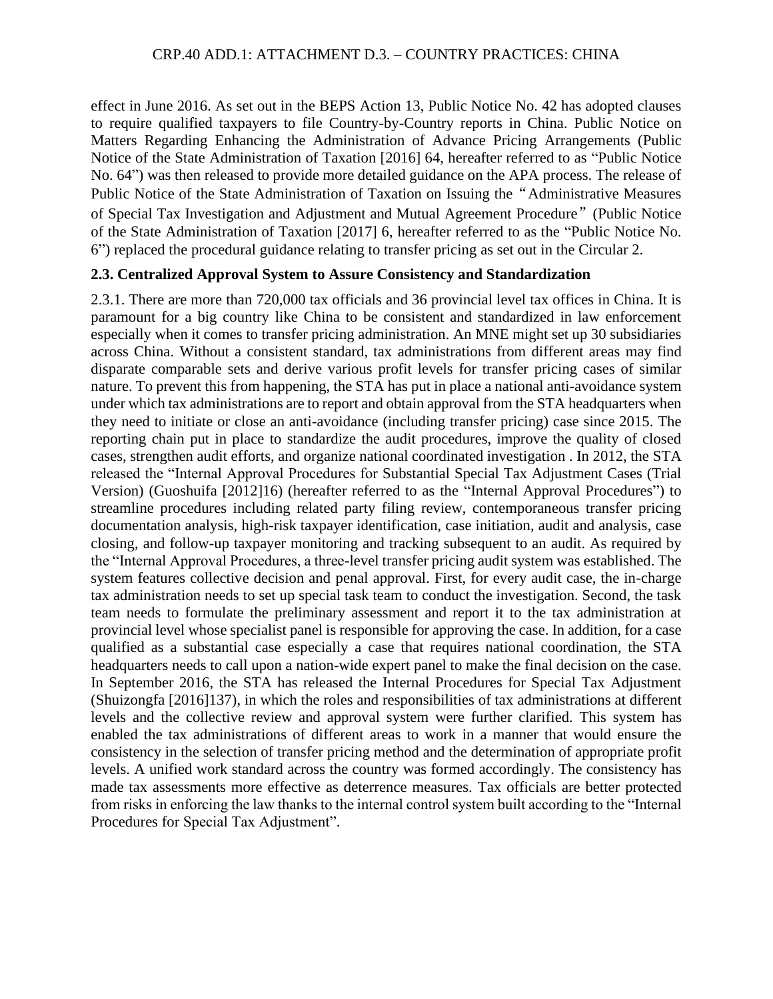effect in June 2016. As set out in the BEPS Action 13, Public Notice No. 42 has adopted clauses to require qualified taxpayers to file Country-by-Country reports in China. Public Notice on Matters Regarding Enhancing the Administration of Advance Pricing Arrangements (Public Notice of the State Administration of Taxation [2016] 64, hereafter referred to as "Public Notice No. 64") was then released to provide more detailed guidance on the APA process. The release of Public Notice of the State Administration of Taxation on Issuing the"Administrative Measures of Special Tax Investigation and Adjustment and Mutual Agreement Procedure"(Public Notice of the State Administration of Taxation [2017] 6, hereafter referred to as the "Public Notice No. 6") replaced the procedural guidance relating to transfer pricing as set out in the Circular 2.

#### **2.3. Centralized Approval System to Assure Consistency and Standardization**

2.3.1. There are more than 720,000 tax officials and 36 provincial level tax offices in China. It is paramount for a big country like China to be consistent and standardized in law enforcement especially when it comes to transfer pricing administration. An MNE might set up 30 subsidiaries across China. Without a consistent standard, tax administrations from different areas may find disparate comparable sets and derive various profit levels for transfer pricing cases of similar nature. To prevent this from happening, the STA has put in place a national anti-avoidance system under which tax administrations are to report and obtain approval from the STA headquarters when they need to initiate or close an anti-avoidance (including transfer pricing) case since 2015. The reporting chain put in place to standardize the audit procedures, improve the quality of closed cases, strengthen audit efforts, and organize national coordinated investigation . In 2012, the STA released the "Internal Approval Procedures for Substantial Special Tax Adjustment Cases (Trial Version) (Guoshuifa [2012]16) (hereafter referred to as the "Internal Approval Procedures") to streamline procedures including related party filing review, contemporaneous transfer pricing documentation analysis, high-risk taxpayer identification, case initiation, audit and analysis, case closing, and follow-up taxpayer monitoring and tracking subsequent to an audit. As required by the "Internal Approval Procedures, a three-level transfer pricing audit system was established. The system features collective decision and penal approval. First, for every audit case, the in-charge tax administration needs to set up special task team to conduct the investigation. Second, the task team needs to formulate the preliminary assessment and report it to the tax administration at provincial level whose specialist panel is responsible for approving the case. In addition, for a case qualified as a substantial case especially a case that requires national coordination, the STA headquarters needs to call upon a nation-wide expert panel to make the final decision on the case. In September 2016, the STA has released the Internal Procedures for Special Tax Adjustment (Shuizongfa [2016]137), in which the roles and responsibilities of tax administrations at different levels and the collective review and approval system were further clarified. This system has enabled the tax administrations of different areas to work in a manner that would ensure the consistency in the selection of transfer pricing method and the determination of appropriate profit levels. A unified work standard across the country was formed accordingly. The consistency has made tax assessments more effective as deterrence measures. Tax officials are better protected from risks in enforcing the law thanks to the internal control system built according to the "Internal Procedures for Special Tax Adjustment".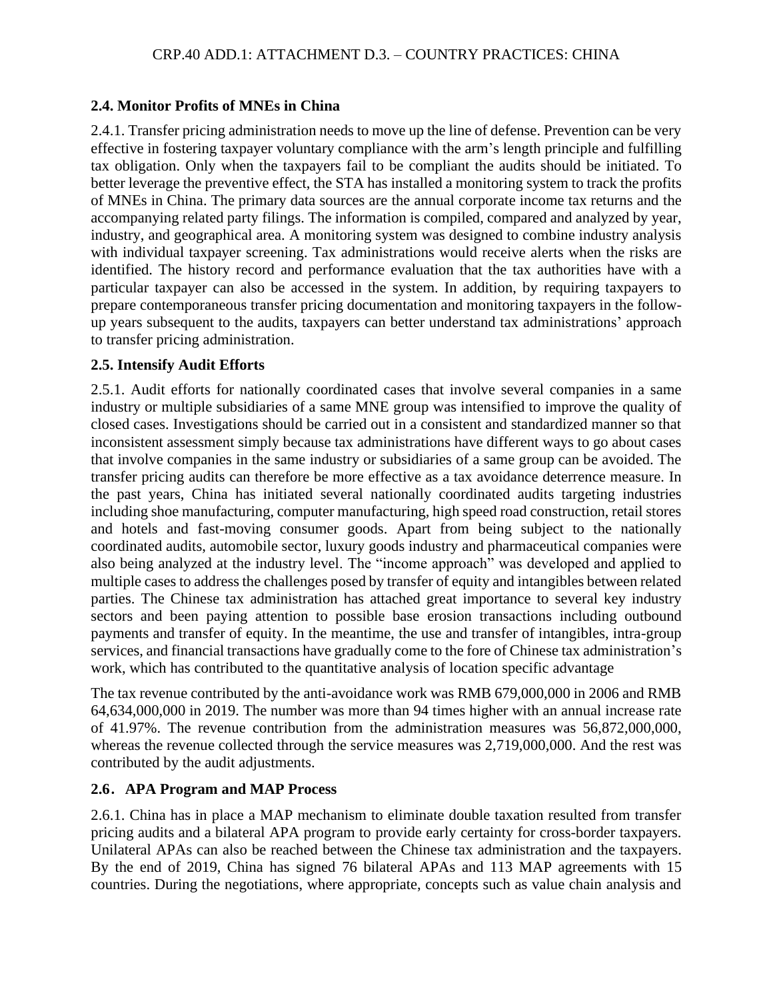#### **2.4. Monitor Profits of MNEs in China**

2.4.1. Transfer pricing administration needs to move up the line of defense. Prevention can be very effective in fostering taxpayer voluntary compliance with the arm's length principle and fulfilling tax obligation. Only when the taxpayers fail to be compliant the audits should be initiated. To better leverage the preventive effect, the STA has installed a monitoring system to track the profits of MNEs in China. The primary data sources are the annual corporate income tax returns and the accompanying related party filings. The information is compiled, compared and analyzed by year, industry, and geographical area. A monitoring system was designed to combine industry analysis with individual taxpayer screening. Tax administrations would receive alerts when the risks are identified. The history record and performance evaluation that the tax authorities have with a particular taxpayer can also be accessed in the system. In addition, by requiring taxpayers to prepare contemporaneous transfer pricing documentation and monitoring taxpayers in the followup years subsequent to the audits, taxpayers can better understand tax administrations' approach to transfer pricing administration.

#### **2.5. Intensify Audit Efforts**

2.5.1. Audit efforts for nationally coordinated cases that involve several companies in a same industry or multiple subsidiaries of a same MNE group was intensified to improve the quality of closed cases. Investigations should be carried out in a consistent and standardized manner so that inconsistent assessment simply because tax administrations have different ways to go about cases that involve companies in the same industry or subsidiaries of a same group can be avoided. The transfer pricing audits can therefore be more effective as a tax avoidance deterrence measure. In the past years, China has initiated several nationally coordinated audits targeting industries including shoe manufacturing, computer manufacturing, high speed road construction, retail stores and hotels and fast-moving consumer goods. Apart from being subject to the nationally coordinated audits, automobile sector, luxury goods industry and pharmaceutical companies were also being analyzed at the industry level. The "income approach" was developed and applied to multiple cases to address the challenges posed by transfer of equity and intangibles between related parties. The Chinese tax administration has attached great importance to several key industry sectors and been paying attention to possible base erosion transactions including outbound payments and transfer of equity. In the meantime, the use and transfer of intangibles, intra-group services, and financial transactions have gradually come to the fore of Chinese tax administration's work, which has contributed to the quantitative analysis of location specific advantage

The tax revenue contributed by the anti-avoidance work was RMB 679,000,000 in 2006 and RMB 64,634,000,000 in 2019. The number was more than 94 times higher with an annual increase rate of 41.97%. The revenue contribution from the administration measures was 56,872,000,000, whereas the revenue collected through the service measures was 2,719,000,000. And the rest was contributed by the audit adjustments.

## **2.6**.**APA Program and MAP Process**

2.6.1. China has in place a MAP mechanism to eliminate double taxation resulted from transfer pricing audits and a bilateral APA program to provide early certainty for cross-border taxpayers. Unilateral APAs can also be reached between the Chinese tax administration and the taxpayers. By the end of 2019, China has signed 76 bilateral APAs and 113 MAP agreements with 15 countries. During the negotiations, where appropriate, concepts such as value chain analysis and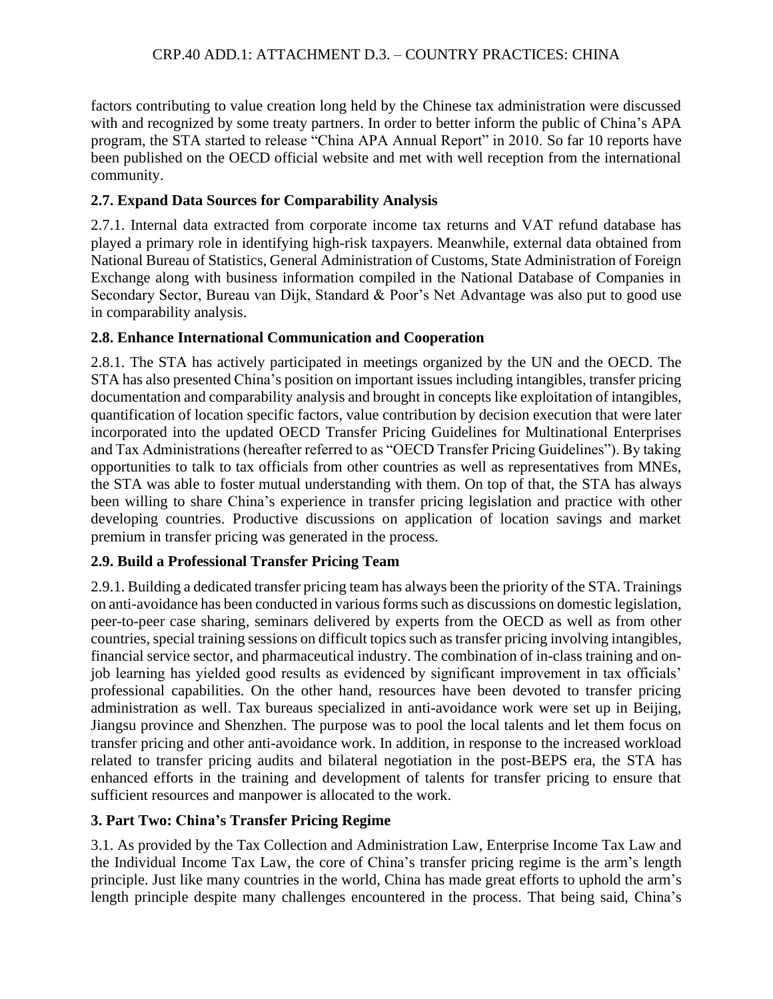factors contributing to value creation long held by the Chinese tax administration were discussed with and recognized by some treaty partners. In order to better inform the public of China's APA program, the STA started to release "China APA Annual Report" in 2010. So far 10 reports have been published on the OECD official website and met with well reception from the international community.

## **2.7. Expand Data Sources for Comparability Analysis**

2.7.1. Internal data extracted from corporate income tax returns and VAT refund database has played a primary role in identifying high-risk taxpayers. Meanwhile, external data obtained from National Bureau of Statistics, General Administration of Customs, State Administration of Foreign Exchange along with business information compiled in the National Database of Companies in Secondary Sector, Bureau van Dijk, Standard & Poor's Net Advantage was also put to good use in comparability analysis.

## **2.8. Enhance International Communication and Cooperation**

2.8.1. The STA has actively participated in meetings organized by the UN and the OECD. The STA has also presented China's position on important issues including intangibles, transfer pricing documentation and comparability analysis and brought in concepts like exploitation of intangibles, quantification of location specific factors, value contribution by decision execution that were later incorporated into the updated OECD Transfer Pricing Guidelines for Multinational Enterprises and Tax Administrations (hereafter referred to as "OECD Transfer Pricing Guidelines"). By taking opportunities to talk to tax officials from other countries as well as representatives from MNEs, the STA was able to foster mutual understanding with them. On top of that, the STA has always been willing to share China's experience in transfer pricing legislation and practice with other developing countries. Productive discussions on application of location savings and market premium in transfer pricing was generated in the process.

# **2.9. Build a Professional Transfer Pricing Team**

2.9.1. Building a dedicated transfer pricing team has always been the priority of the STA. Trainings on anti-avoidance has been conducted in various forms such as discussions on domestic legislation, peer-to-peer case sharing, seminars delivered by experts from the OECD as well as from other countries, special training sessions on difficult topics such astransfer pricing involving intangibles, financial service sector, and pharmaceutical industry. The combination of in-class training and onjob learning has yielded good results as evidenced by significant improvement in tax officials' professional capabilities. On the other hand, resources have been devoted to transfer pricing administration as well. Tax bureaus specialized in anti-avoidance work were set up in Beijing, Jiangsu province and Shenzhen. The purpose was to pool the local talents and let them focus on transfer pricing and other anti-avoidance work. In addition, in response to the increased workload related to transfer pricing audits and bilateral negotiation in the post-BEPS era, the STA has enhanced efforts in the training and development of talents for transfer pricing to ensure that sufficient resources and manpower is allocated to the work.

## **3. Part Two: China's Transfer Pricing Regime**

3.1. As provided by the Tax Collection and Administration Law, Enterprise Income Tax Law and the Individual Income Tax Law, the core of China's transfer pricing regime is the arm's length principle. Just like many countries in the world, China has made great efforts to uphold the arm's length principle despite many challenges encountered in the process. That being said, China's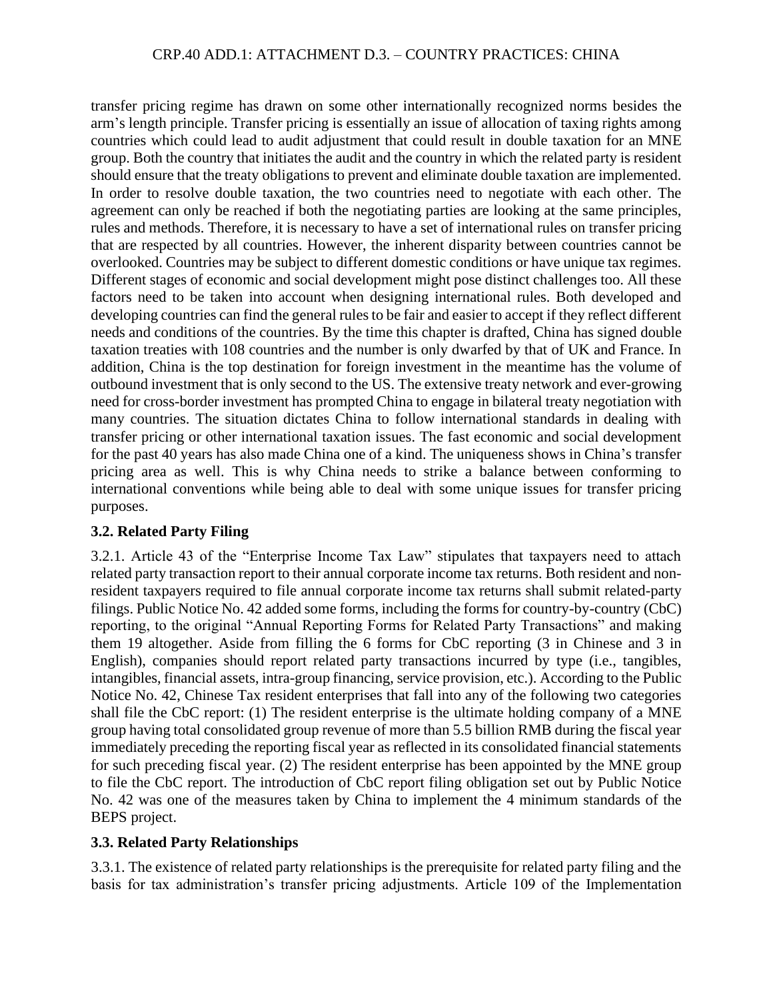transfer pricing regime has drawn on some other internationally recognized norms besides the arm's length principle. Transfer pricing is essentially an issue of allocation of taxing rights among countries which could lead to audit adjustment that could result in double taxation for an MNE group. Both the country that initiates the audit and the country in which the related party is resident should ensure that the treaty obligations to prevent and eliminate double taxation are implemented. In order to resolve double taxation, the two countries need to negotiate with each other. The agreement can only be reached if both the negotiating parties are looking at the same principles, rules and methods. Therefore, it is necessary to have a set of international rules on transfer pricing that are respected by all countries. However, the inherent disparity between countries cannot be overlooked. Countries may be subject to different domestic conditions or have unique tax regimes. Different stages of economic and social development might pose distinct challenges too. All these factors need to be taken into account when designing international rules. Both developed and developing countries can find the general rules to be fair and easier to accept if they reflect different needs and conditions of the countries. By the time this chapter is drafted, China has signed double taxation treaties with 108 countries and the number is only dwarfed by that of UK and France. In addition, China is the top destination for foreign investment in the meantime has the volume of outbound investment that is only second to the US. The extensive treaty network and ever-growing need for cross-border investment has prompted China to engage in bilateral treaty negotiation with many countries. The situation dictates China to follow international standards in dealing with transfer pricing or other international taxation issues. The fast economic and social development for the past 40 years has also made China one of a kind. The uniqueness shows in China's transfer pricing area as well. This is why China needs to strike a balance between conforming to international conventions while being able to deal with some unique issues for transfer pricing purposes.

## **3.2. Related Party Filing**

3.2.1. Article 43 of the "Enterprise Income Tax Law" stipulates that taxpayers need to attach related party transaction report to their annual corporate income tax returns. Both resident and nonresident taxpayers required to file annual corporate income tax returns shall submit related-party filings. Public Notice No. 42 added some forms, including the forms for country-by-country (CbC) reporting, to the original "Annual Reporting Forms for Related Party Transactions" and making them 19 altogether. Aside from filling the 6 forms for CbC reporting (3 in Chinese and 3 in English), companies should report related party transactions incurred by type (i.e., tangibles, intangibles, financial assets, intra-group financing, service provision, etc.). According to the Public Notice No. 42, Chinese Tax resident enterprises that fall into any of the following two categories shall file the CbC report: (1) The resident enterprise is the ultimate holding company of a MNE group having total consolidated group revenue of more than 5.5 billion RMB during the fiscal year immediately preceding the reporting fiscal year as reflected in its consolidated financial statements for such preceding fiscal year. (2) The resident enterprise has been appointed by the MNE group to file the CbC report. The introduction of CbC report filing obligation set out by Public Notice No. 42 was one of the measures taken by China to implement the 4 minimum standards of the BEPS project.

## **3.3. Related Party Relationships**

3.3.1. The existence of related party relationships is the prerequisite for related party filing and the basis for tax administration's transfer pricing adjustments. Article 109 of the Implementation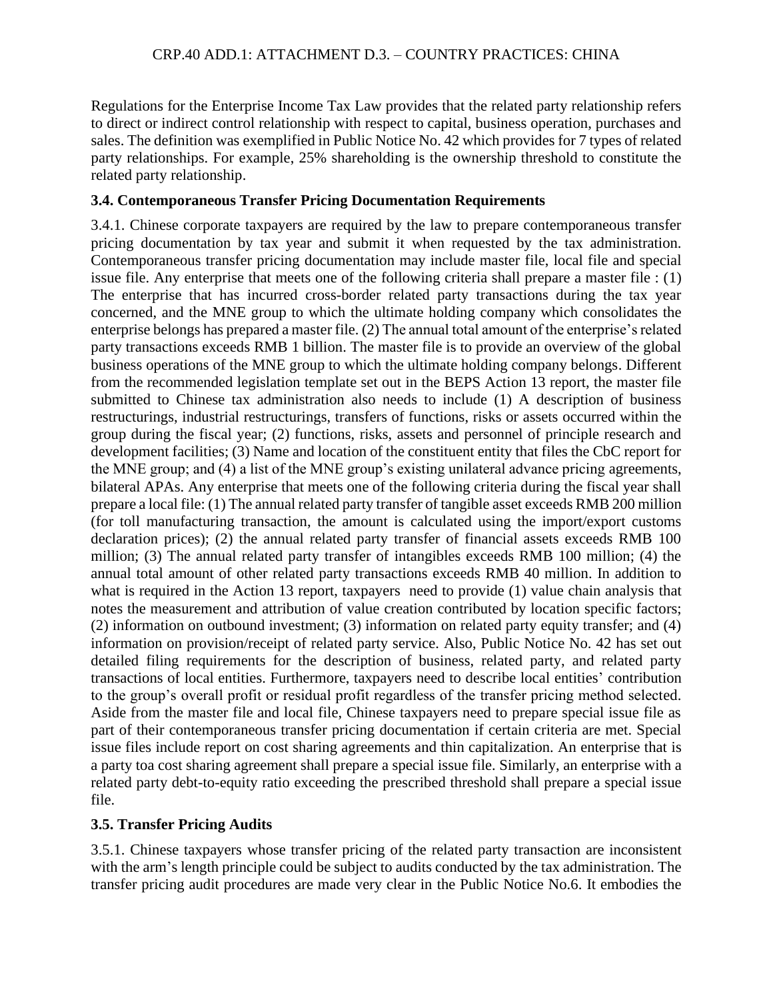Regulations for the Enterprise Income Tax Law provides that the related party relationship refers to direct or indirect control relationship with respect to capital, business operation, purchases and sales. The definition was exemplified in Public Notice No. 42 which provides for 7 types of related party relationships. For example, 25% shareholding is the ownership threshold to constitute the related party relationship.

## **3.4. Contemporaneous Transfer Pricing Documentation Requirements**

3.4.1. Chinese corporate taxpayers are required by the law to prepare contemporaneous transfer pricing documentation by tax year and submit it when requested by the tax administration. Contemporaneous transfer pricing documentation may include master file, local file and special issue file. Any enterprise that meets one of the following criteria shall prepare a master file : (1) The enterprise that has incurred cross-border related party transactions during the tax year concerned, and the MNE group to which the ultimate holding company which consolidates the enterprise belongs has prepared a master file. (2) The annual total amount of the enterprise's related party transactions exceeds RMB 1 billion. The master file is to provide an overview of the global business operations of the MNE group to which the ultimate holding company belongs. Different from the recommended legislation template set out in the BEPS Action 13 report, the master file submitted to Chinese tax administration also needs to include (1) A description of business restructurings, industrial restructurings, transfers of functions, risks or assets occurred within the group during the fiscal year; (2) functions, risks, assets and personnel of principle research and development facilities; (3) Name and location of the constituent entity that files the CbC report for the MNE group; and (4) a list of the MNE group's existing unilateral advance pricing agreements, bilateral APAs. Any enterprise that meets one of the following criteria during the fiscal year shall prepare a local file: (1) The annual related party transfer of tangible asset exceeds RMB 200 million (for toll manufacturing transaction, the amount is calculated using the import/export customs declaration prices); (2) the annual related party transfer of financial assets exceeds RMB 100 million; (3) The annual related party transfer of intangibles exceeds RMB 100 million; (4) the annual total amount of other related party transactions exceeds RMB 40 million. In addition to what is required in the Action 13 report, taxpayers need to provide (1) value chain analysis that notes the measurement and attribution of value creation contributed by location specific factors; (2) information on outbound investment; (3) information on related party equity transfer; and (4) information on provision/receipt of related party service. Also, Public Notice No. 42 has set out detailed filing requirements for the description of business, related party, and related party transactions of local entities. Furthermore, taxpayers need to describe local entities' contribution to the group's overall profit or residual profit regardless of the transfer pricing method selected. Aside from the master file and local file, Chinese taxpayers need to prepare special issue file as part of their contemporaneous transfer pricing documentation if certain criteria are met. Special issue files include report on cost sharing agreements and thin capitalization. An enterprise that is a party toa cost sharing agreement shall prepare a special issue file. Similarly, an enterprise with a related party debt-to-equity ratio exceeding the prescribed threshold shall prepare a special issue file.

# **3.5. Transfer Pricing Audits**

3.5.1. Chinese taxpayers whose transfer pricing of the related party transaction are inconsistent with the arm's length principle could be subject to audits conducted by the tax administration. The transfer pricing audit procedures are made very clear in the Public Notice No.6. It embodies the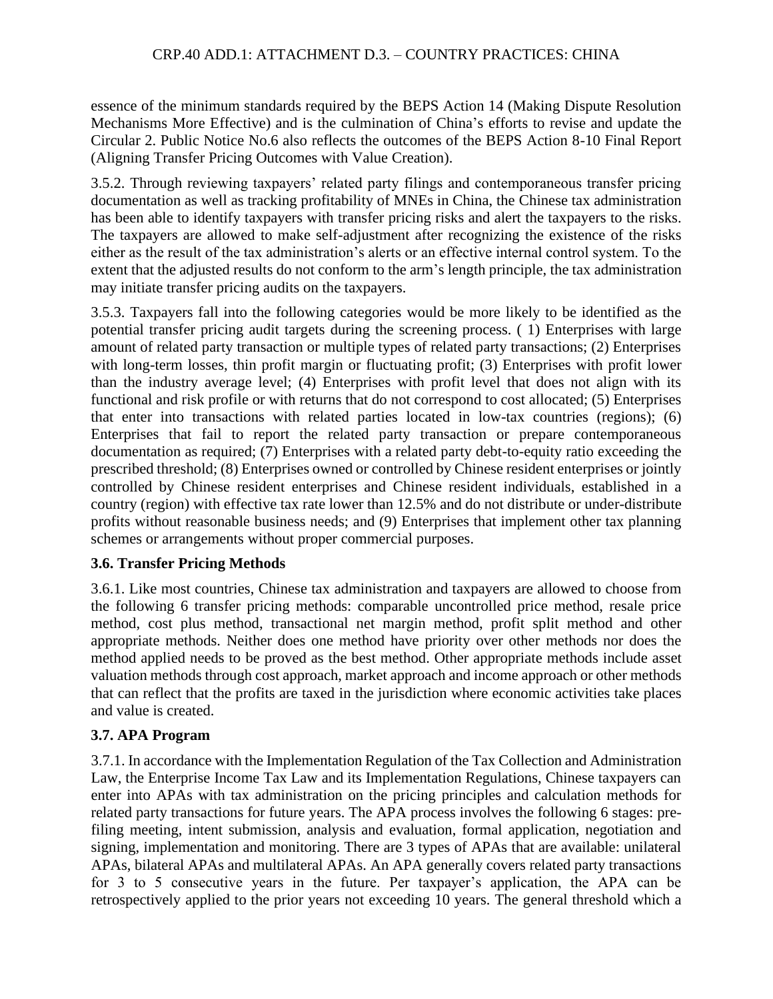essence of the minimum standards required by the BEPS Action 14 (Making Dispute Resolution Mechanisms More Effective) and is the culmination of China's efforts to revise and update the Circular 2. Public Notice No.6 also reflects the outcomes of the BEPS Action 8-10 Final Report (Aligning Transfer Pricing Outcomes with Value Creation).

3.5.2. Through reviewing taxpayers' related party filings and contemporaneous transfer pricing documentation as well as tracking profitability of MNEs in China, the Chinese tax administration has been able to identify taxpayers with transfer pricing risks and alert the taxpayers to the risks. The taxpayers are allowed to make self-adjustment after recognizing the existence of the risks either as the result of the tax administration's alerts or an effective internal control system. To the extent that the adjusted results do not conform to the arm's length principle, the tax administration may initiate transfer pricing audits on the taxpayers.

3.5.3. Taxpayers fall into the following categories would be more likely to be identified as the potential transfer pricing audit targets during the screening process. ( 1) Enterprises with large amount of related party transaction or multiple types of related party transactions; (2) Enterprises with long-term losses, thin profit margin or fluctuating profit; (3) Enterprises with profit lower than the industry average level; (4) Enterprises with profit level that does not align with its functional and risk profile or with returns that do not correspond to cost allocated; (5) Enterprises that enter into transactions with related parties located in low-tax countries (regions); (6) Enterprises that fail to report the related party transaction or prepare contemporaneous documentation as required; (7) Enterprises with a related party debt-to-equity ratio exceeding the prescribed threshold; (8) Enterprises owned or controlled by Chinese resident enterprises or jointly controlled by Chinese resident enterprises and Chinese resident individuals, established in a country (region) with effective tax rate lower than 12.5% and do not distribute or under-distribute profits without reasonable business needs; and (9) Enterprises that implement other tax planning schemes or arrangements without proper commercial purposes.

## **3.6. Transfer Pricing Methods**

3.6.1. Like most countries, Chinese tax administration and taxpayers are allowed to choose from the following 6 transfer pricing methods: comparable uncontrolled price method, resale price method, cost plus method, transactional net margin method, profit split method and other appropriate methods. Neither does one method have priority over other methods nor does the method applied needs to be proved as the best method. Other appropriate methods include asset valuation methods through cost approach, market approach and income approach or other methods that can reflect that the profits are taxed in the jurisdiction where economic activities take places and value is created.

# **3.7. APA Program**

3.7.1. In accordance with the Implementation Regulation of the Tax Collection and Administration Law, the Enterprise Income Tax Law and its Implementation Regulations, Chinese taxpayers can enter into APAs with tax administration on the pricing principles and calculation methods for related party transactions for future years. The APA process involves the following 6 stages: prefiling meeting, intent submission, analysis and evaluation, formal application, negotiation and signing, implementation and monitoring. There are 3 types of APAs that are available: unilateral APAs, bilateral APAs and multilateral APAs. An APA generally covers related party transactions for 3 to 5 consecutive years in the future. Per taxpayer's application, the APA can be retrospectively applied to the prior years not exceeding 10 years. The general threshold which a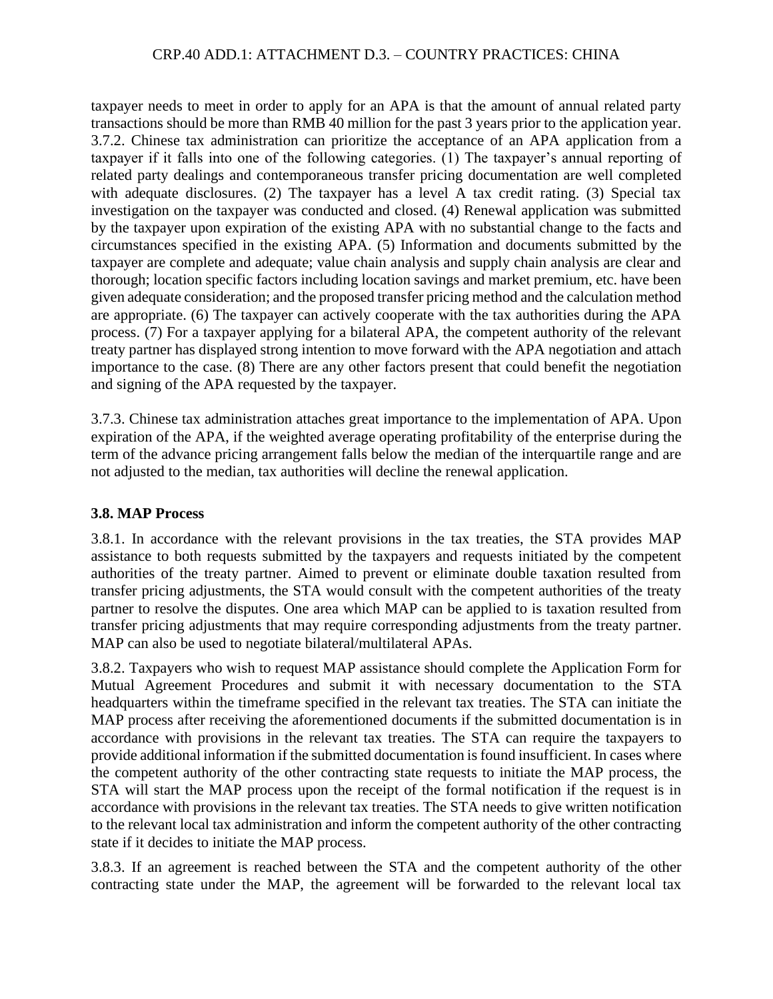taxpayer needs to meet in order to apply for an APA is that the amount of annual related party transactions should be more than RMB 40 million for the past 3 years prior to the application year. 3.7.2. Chinese tax administration can prioritize the acceptance of an APA application from a taxpayer if it falls into one of the following categories. (1) The taxpayer's annual reporting of related party dealings and contemporaneous transfer pricing documentation are well completed with adequate disclosures. (2) The taxpayer has a level A tax credit rating. (3) Special tax investigation on the taxpayer was conducted and closed. (4) Renewal application was submitted by the taxpayer upon expiration of the existing APA with no substantial change to the facts and circumstances specified in the existing APA. (5) Information and documents submitted by the taxpayer are complete and adequate; value chain analysis and supply chain analysis are clear and thorough; location specific factors including location savings and market premium, etc. have been given adequate consideration; and the proposed transfer pricing method and the calculation method are appropriate. (6) The taxpayer can actively cooperate with the tax authorities during the APA process. (7) For a taxpayer applying for a bilateral APA, the competent authority of the relevant treaty partner has displayed strong intention to move forward with the APA negotiation and attach importance to the case. (8) There are any other factors present that could benefit the negotiation and signing of the APA requested by the taxpayer.

3.7.3. Chinese tax administration attaches great importance to the implementation of APA. Upon expiration of the APA, if the weighted average operating profitability of the enterprise during the term of the advance pricing arrangement falls below the median of the interquartile range and are not adjusted to the median, tax authorities will decline the renewal application.

#### **3.8. MAP Process**

3.8.1. In accordance with the relevant provisions in the tax treaties, the STA provides MAP assistance to both requests submitted by the taxpayers and requests initiated by the competent authorities of the treaty partner. Aimed to prevent or eliminate double taxation resulted from transfer pricing adjustments, the STA would consult with the competent authorities of the treaty partner to resolve the disputes. One area which MAP can be applied to is taxation resulted from transfer pricing adjustments that may require corresponding adjustments from the treaty partner. MAP can also be used to negotiate bilateral/multilateral APAs.

3.8.2. Taxpayers who wish to request MAP assistance should complete the Application Form for Mutual Agreement Procedures and submit it with necessary documentation to the STA headquarters within the timeframe specified in the relevant tax treaties. The STA can initiate the MAP process after receiving the aforementioned documents if the submitted documentation is in accordance with provisions in the relevant tax treaties. The STA can require the taxpayers to provide additional information if the submitted documentation is found insufficient. In cases where the competent authority of the other contracting state requests to initiate the MAP process, the STA will start the MAP process upon the receipt of the formal notification if the request is in accordance with provisions in the relevant tax treaties. The STA needs to give written notification to the relevant local tax administration and inform the competent authority of the other contracting state if it decides to initiate the MAP process.

3.8.3. If an agreement is reached between the STA and the competent authority of the other contracting state under the MAP, the agreement will be forwarded to the relevant local tax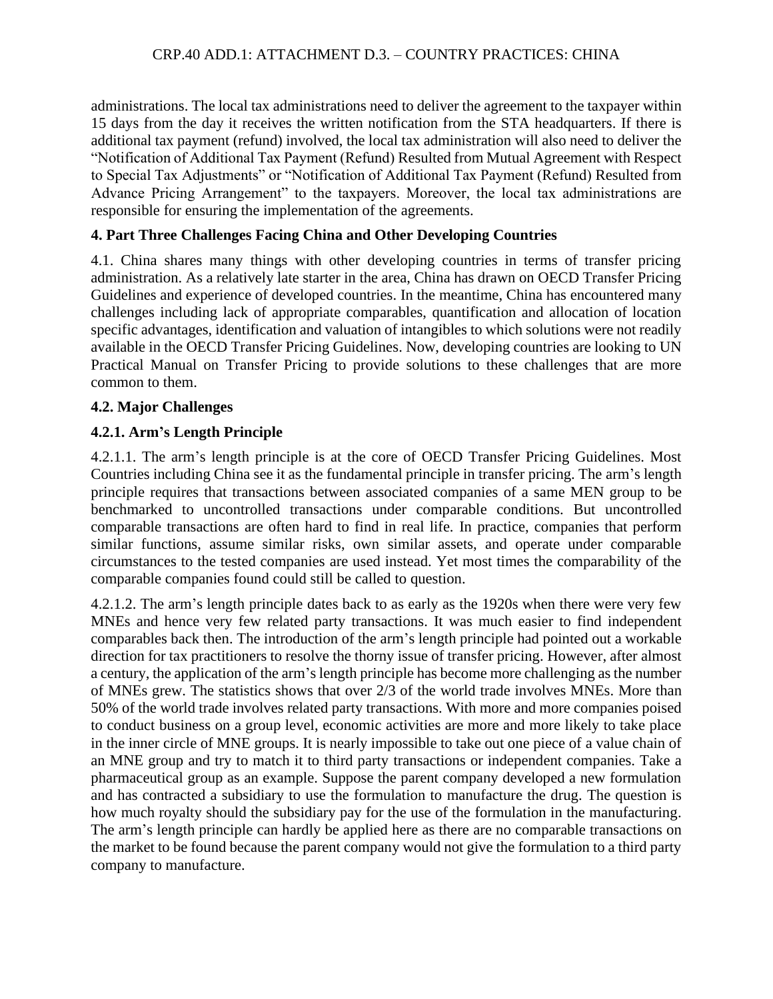administrations. The local tax administrations need to deliver the agreement to the taxpayer within 15 days from the day it receives the written notification from the STA headquarters. If there is additional tax payment (refund) involved, the local tax administration will also need to deliver the "Notification of Additional Tax Payment (Refund) Resulted from Mutual Agreement with Respect to Special Tax Adjustments" or "Notification of Additional Tax Payment (Refund) Resulted from Advance Pricing Arrangement" to the taxpayers. Moreover, the local tax administrations are responsible for ensuring the implementation of the agreements.

## **4. Part Three Challenges Facing China and Other Developing Countries**

4.1. China shares many things with other developing countries in terms of transfer pricing administration. As a relatively late starter in the area, China has drawn on OECD Transfer Pricing Guidelines and experience of developed countries. In the meantime, China has encountered many challenges including lack of appropriate comparables, quantification and allocation of location specific advantages, identification and valuation of intangibles to which solutions were not readily available in the OECD Transfer Pricing Guidelines. Now, developing countries are looking to UN Practical Manual on Transfer Pricing to provide solutions to these challenges that are more common to them.

## **4.2. Major Challenges**

## **4.2.1. Arm's Length Principle**

4.2.1.1. The arm's length principle is at the core of OECD Transfer Pricing Guidelines. Most Countries including China see it as the fundamental principle in transfer pricing. The arm's length principle requires that transactions between associated companies of a same MEN group to be benchmarked to uncontrolled transactions under comparable conditions. But uncontrolled comparable transactions are often hard to find in real life. In practice, companies that perform similar functions, assume similar risks, own similar assets, and operate under comparable circumstances to the tested companies are used instead. Yet most times the comparability of the comparable companies found could still be called to question.

4.2.1.2. The arm's length principle dates back to as early as the 1920s when there were very few MNEs and hence very few related party transactions. It was much easier to find independent comparables back then. The introduction of the arm's length principle had pointed out a workable direction for tax practitioners to resolve the thorny issue of transfer pricing. However, after almost a century, the application of the arm's length principle has become more challenging as the number of MNEs grew. The statistics shows that over 2/3 of the world trade involves MNEs. More than 50% of the world trade involves related party transactions. With more and more companies poised to conduct business on a group level, economic activities are more and more likely to take place in the inner circle of MNE groups. It is nearly impossible to take out one piece of a value chain of an MNE group and try to match it to third party transactions or independent companies. Take a pharmaceutical group as an example. Suppose the parent company developed a new formulation and has contracted a subsidiary to use the formulation to manufacture the drug. The question is how much royalty should the subsidiary pay for the use of the formulation in the manufacturing. The arm's length principle can hardly be applied here as there are no comparable transactions on the market to be found because the parent company would not give the formulation to a third party company to manufacture.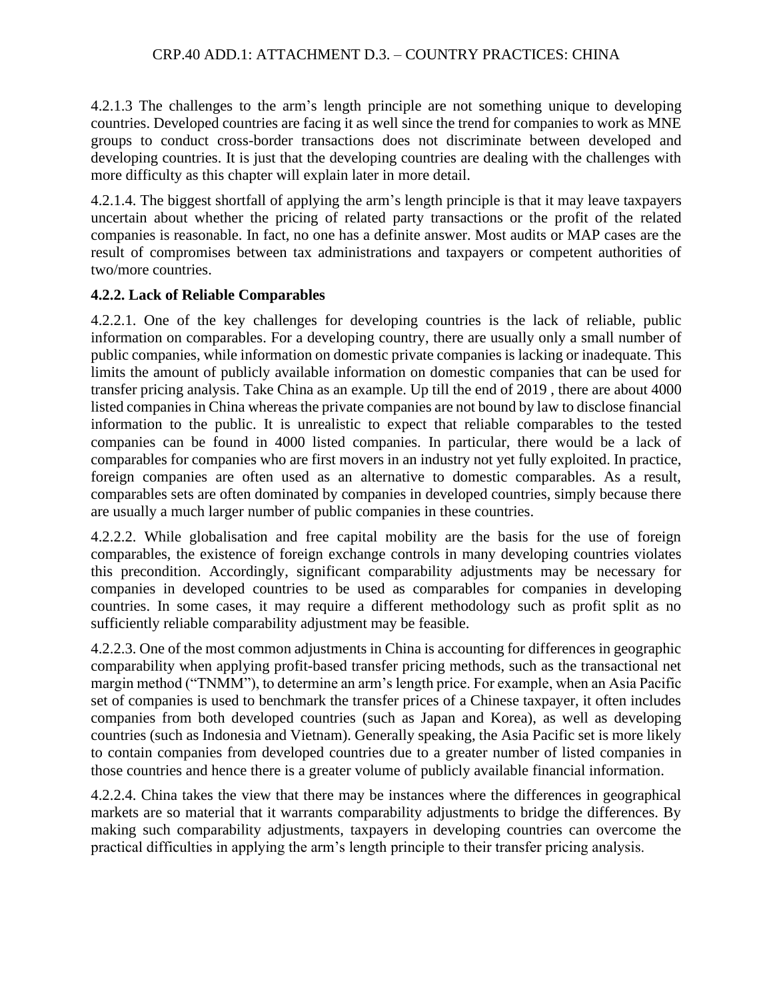4.2.1.3 The challenges to the arm's length principle are not something unique to developing countries. Developed countries are facing it as well since the trend for companies to work as MNE groups to conduct cross-border transactions does not discriminate between developed and developing countries. It is just that the developing countries are dealing with the challenges with more difficulty as this chapter will explain later in more detail.

4.2.1.4. The biggest shortfall of applying the arm's length principle is that it may leave taxpayers uncertain about whether the pricing of related party transactions or the profit of the related companies is reasonable. In fact, no one has a definite answer. Most audits or MAP cases are the result of compromises between tax administrations and taxpayers or competent authorities of two/more countries.

## **4.2.2. Lack of Reliable Comparables**

4.2.2.1. One of the key challenges for developing countries is the lack of reliable, public information on comparables. For a developing country, there are usually only a small number of public companies, while information on domestic private companies is lacking or inadequate. This limits the amount of publicly available information on domestic companies that can be used for transfer pricing analysis. Take China as an example. Up till the end of 2019 , there are about 4000 listed companies in China whereas the private companies are not bound by law to disclose financial information to the public. It is unrealistic to expect that reliable comparables to the tested companies can be found in 4000 listed companies. In particular, there would be a lack of comparables for companies who are first movers in an industry not yet fully exploited. In practice, foreign companies are often used as an alternative to domestic comparables. As a result, comparables sets are often dominated by companies in developed countries, simply because there are usually a much larger number of public companies in these countries.

4.2.2.2. While globalisation and free capital mobility are the basis for the use of foreign comparables, the existence of foreign exchange controls in many developing countries violates this precondition. Accordingly, significant comparability adjustments may be necessary for companies in developed countries to be used as comparables for companies in developing countries. In some cases, it may require a different methodology such as profit split as no sufficiently reliable comparability adjustment may be feasible.

4.2.2.3. One of the most common adjustments in China is accounting for differences in geographic comparability when applying profit-based transfer pricing methods, such as the transactional net margin method ("TNMM"), to determine an arm's length price. For example, when an Asia Pacific set of companies is used to benchmark the transfer prices of a Chinese taxpayer, it often includes companies from both developed countries (such as Japan and Korea), as well as developing countries (such as Indonesia and Vietnam). Generally speaking, the Asia Pacific set is more likely to contain companies from developed countries due to a greater number of listed companies in those countries and hence there is a greater volume of publicly available financial information.

4.2.2.4. China takes the view that there may be instances where the differences in geographical markets are so material that it warrants comparability adjustments to bridge the differences. By making such comparability adjustments, taxpayers in developing countries can overcome the practical difficulties in applying the arm's length principle to their transfer pricing analysis.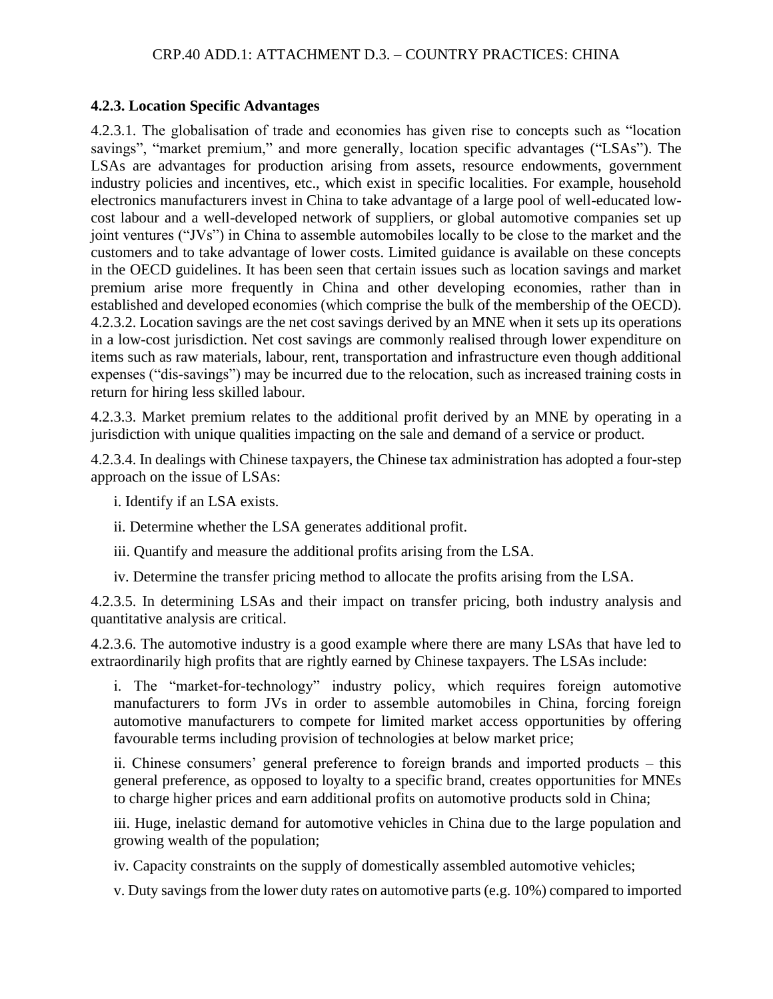#### **4.2.3. Location Specific Advantages**

4.2.3.1. The globalisation of trade and economies has given rise to concepts such as "location savings", "market premium," and more generally, location specific advantages ("LSAs"). The LSAs are advantages for production arising from assets, resource endowments, government industry policies and incentives, etc., which exist in specific localities. For example, household electronics manufacturers invest in China to take advantage of a large pool of well-educated lowcost labour and a well-developed network of suppliers, or global automotive companies set up joint ventures ("JVs") in China to assemble automobiles locally to be close to the market and the customers and to take advantage of lower costs. Limited guidance is available on these concepts in the OECD guidelines. It has been seen that certain issues such as location savings and market premium arise more frequently in China and other developing economies, rather than in established and developed economies (which comprise the bulk of the membership of the OECD). 4.2.3.2. Location savings are the net cost savings derived by an MNE when it sets up its operations in a low-cost jurisdiction. Net cost savings are commonly realised through lower expenditure on items such as raw materials, labour, rent, transportation and infrastructure even though additional expenses ("dis-savings") may be incurred due to the relocation, such as increased training costs in return for hiring less skilled labour.

4.2.3.3. Market premium relates to the additional profit derived by an MNE by operating in a jurisdiction with unique qualities impacting on the sale and demand of a service or product.

4.2.3.4. In dealings with Chinese taxpayers, the Chinese tax administration has adopted a four-step approach on the issue of LSAs:

i. Identify if an LSA exists.

ii. Determine whether the LSA generates additional profit.

iii. Quantify and measure the additional profits arising from the LSA.

iv. Determine the transfer pricing method to allocate the profits arising from the LSA.

4.2.3.5. In determining LSAs and their impact on transfer pricing, both industry analysis and quantitative analysis are critical.

4.2.3.6. The automotive industry is a good example where there are many LSAs that have led to extraordinarily high profits that are rightly earned by Chinese taxpayers. The LSAs include:

i. The "market-for-technology" industry policy, which requires foreign automotive manufacturers to form JVs in order to assemble automobiles in China, forcing foreign automotive manufacturers to compete for limited market access opportunities by offering favourable terms including provision of technologies at below market price;

ii. Chinese consumers' general preference to foreign brands and imported products – this general preference, as opposed to loyalty to a specific brand, creates opportunities for MNEs to charge higher prices and earn additional profits on automotive products sold in China;

iii. Huge, inelastic demand for automotive vehicles in China due to the large population and growing wealth of the population;

iv. Capacity constraints on the supply of domestically assembled automotive vehicles;

v. Duty savings from the lower duty rates on automotive parts (e.g. 10%) compared to imported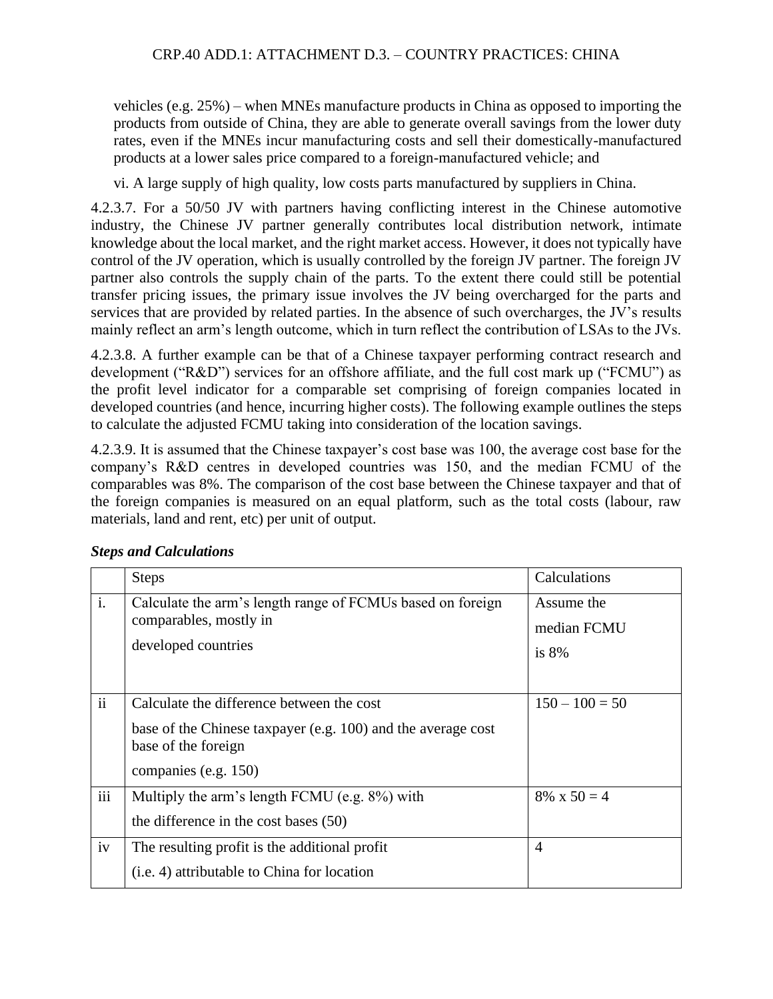vehicles (e.g. 25%) – when MNEs manufacture products in China as opposed to importing the products from outside of China, they are able to generate overall savings from the lower duty rates, even if the MNEs incur manufacturing costs and sell their domestically-manufactured products at a lower sales price compared to a foreign-manufactured vehicle; and

vi. A large supply of high quality, low costs parts manufactured by suppliers in China.

4.2.3.7. For a 50/50 JV with partners having conflicting interest in the Chinese automotive industry, the Chinese JV partner generally contributes local distribution network, intimate knowledge about the local market, and the right market access. However, it does not typically have control of the JV operation, which is usually controlled by the foreign JV partner. The foreign JV partner also controls the supply chain of the parts. To the extent there could still be potential transfer pricing issues, the primary issue involves the JV being overcharged for the parts and services that are provided by related parties. In the absence of such overcharges, the JV's results mainly reflect an arm's length outcome, which in turn reflect the contribution of LSAs to the JVs.

4.2.3.8. A further example can be that of a Chinese taxpayer performing contract research and development ("R&D") services for an offshore affiliate, and the full cost mark up ("FCMU") as the profit level indicator for a comparable set comprising of foreign companies located in developed countries (and hence, incurring higher costs). The following example outlines the steps to calculate the adjusted FCMU taking into consideration of the location savings.

4.2.3.9. It is assumed that the Chinese taxpayer's cost base was 100, the average cost base for the company's R&D centres in developed countries was 150, and the median FCMU of the comparables was 8%. The comparison of the cost base between the Chinese taxpayer and that of the foreign companies is measured on an equal platform, such as the total costs (labour, raw materials, land and rent, etc) per unit of output.

|                | <b>Steps</b>                                                                                                                                             | Calculations                         |
|----------------|----------------------------------------------------------------------------------------------------------------------------------------------------------|--------------------------------------|
| $\mathbf{i}$ . | Calculate the arm's length range of FCMUs based on foreign<br>comparables, mostly in<br>developed countries                                              | Assume the<br>median FCMU<br>is $8%$ |
| $\mathbf{ii}$  | Calculate the difference between the cost<br>base of the Chinese taxpayer (e.g. 100) and the average cost<br>base of the foreign<br>companies (e.g. 150) | $150 - 100 = 50$                     |
| iii            | Multiply the arm's length FCMU (e.g. 8%) with<br>the difference in the cost bases (50)                                                                   | $8\% \times 50 = 4$                  |
| iv             | The resulting profit is the additional profit<br>( <i>i.e.</i> 4) attributable to China for location                                                     | $\overline{4}$                       |

## *Steps and Calculations*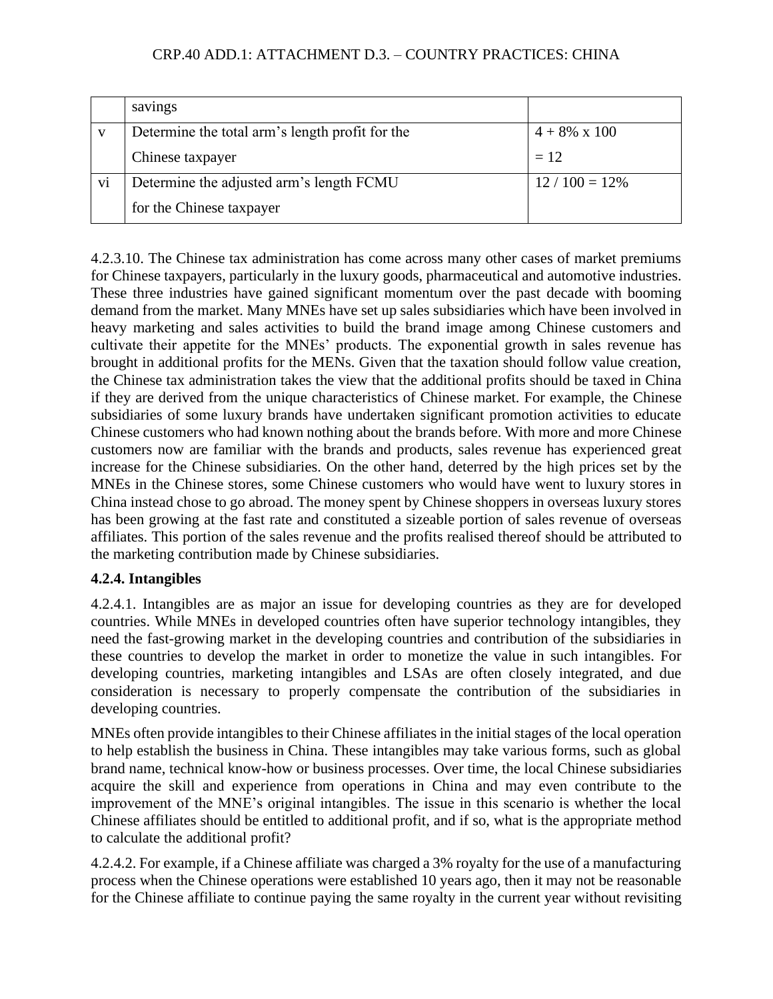|                | savings                                         |                      |
|----------------|-------------------------------------------------|----------------------|
| V              | Determine the total arm's length profit for the | $4 + 8\% \times 100$ |
|                | Chinese taxpayer                                | $= 12$               |
| V <sub>1</sub> | Determine the adjusted arm's length FCMU        | $12/100 = 12\%$      |
|                | for the Chinese taxpayer                        |                      |

4.2.3.10. The Chinese tax administration has come across many other cases of market premiums for Chinese taxpayers, particularly in the luxury goods, pharmaceutical and automotive industries. These three industries have gained significant momentum over the past decade with booming demand from the market. Many MNEs have set up sales subsidiaries which have been involved in heavy marketing and sales activities to build the brand image among Chinese customers and cultivate their appetite for the MNEs' products. The exponential growth in sales revenue has brought in additional profits for the MENs. Given that the taxation should follow value creation, the Chinese tax administration takes the view that the additional profits should be taxed in China if they are derived from the unique characteristics of Chinese market. For example, the Chinese subsidiaries of some luxury brands have undertaken significant promotion activities to educate Chinese customers who had known nothing about the brands before. With more and more Chinese customers now are familiar with the brands and products, sales revenue has experienced great increase for the Chinese subsidiaries. On the other hand, deterred by the high prices set by the MNEs in the Chinese stores, some Chinese customers who would have went to luxury stores in China instead chose to go abroad. The money spent by Chinese shoppers in overseas luxury stores has been growing at the fast rate and constituted a sizeable portion of sales revenue of overseas affiliates. This portion of the sales revenue and the profits realised thereof should be attributed to the marketing contribution made by Chinese subsidiaries.

# **4.2.4. Intangibles**

4.2.4.1. Intangibles are as major an issue for developing countries as they are for developed countries. While MNEs in developed countries often have superior technology intangibles, they need the fast-growing market in the developing countries and contribution of the subsidiaries in these countries to develop the market in order to monetize the value in such intangibles. For developing countries, marketing intangibles and LSAs are often closely integrated, and due consideration is necessary to properly compensate the contribution of the subsidiaries in developing countries.

MNEs often provide intangibles to their Chinese affiliates in the initial stages of the local operation to help establish the business in China. These intangibles may take various forms, such as global brand name, technical know-how or business processes. Over time, the local Chinese subsidiaries acquire the skill and experience from operations in China and may even contribute to the improvement of the MNE's original intangibles. The issue in this scenario is whether the local Chinese affiliates should be entitled to additional profit, and if so, what is the appropriate method to calculate the additional profit?

4.2.4.2. For example, if a Chinese affiliate was charged a 3% royalty for the use of a manufacturing process when the Chinese operations were established 10 years ago, then it may not be reasonable for the Chinese affiliate to continue paying the same royalty in the current year without revisiting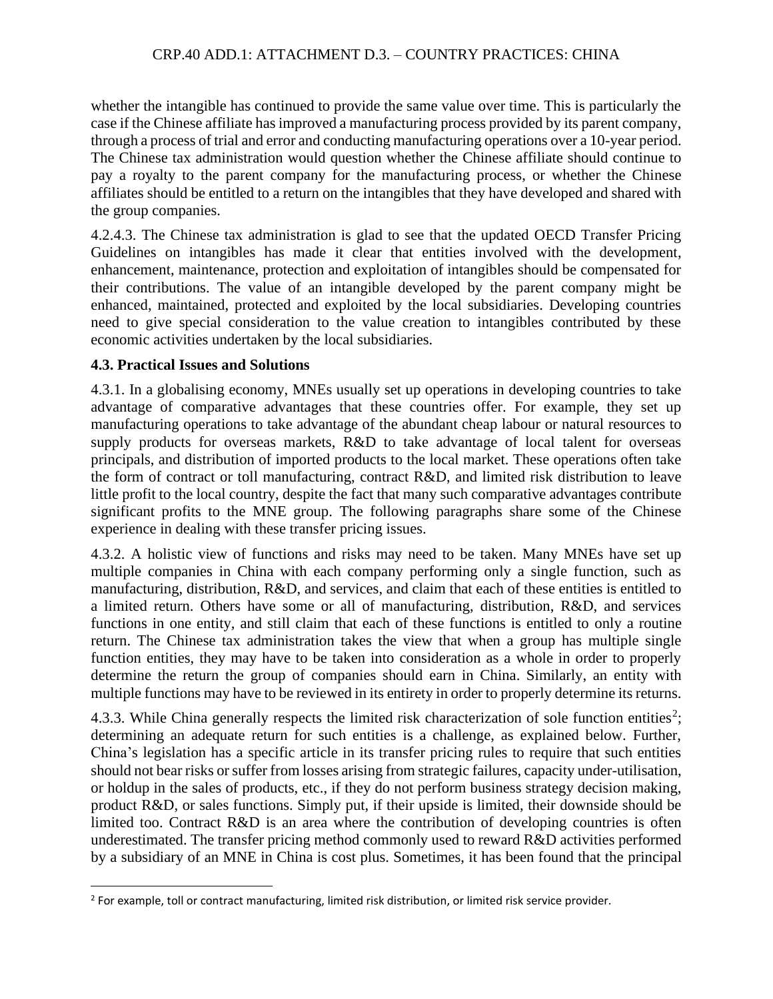whether the intangible has continued to provide the same value over time. This is particularly the case if the Chinese affiliate has improved a manufacturing process provided by its parent company, through a process of trial and error and conducting manufacturing operations over a 10-year period. The Chinese tax administration would question whether the Chinese affiliate should continue to pay a royalty to the parent company for the manufacturing process, or whether the Chinese affiliates should be entitled to a return on the intangibles that they have developed and shared with the group companies.

4.2.4.3. The Chinese tax administration is glad to see that the updated OECD Transfer Pricing Guidelines on intangibles has made it clear that entities involved with the development, enhancement, maintenance, protection and exploitation of intangibles should be compensated for their contributions. The value of an intangible developed by the parent company might be enhanced, maintained, protected and exploited by the local subsidiaries. Developing countries need to give special consideration to the value creation to intangibles contributed by these economic activities undertaken by the local subsidiaries.

#### **4.3. Practical Issues and Solutions**

4.3.1. In a globalising economy, MNEs usually set up operations in developing countries to take advantage of comparative advantages that these countries offer. For example, they set up manufacturing operations to take advantage of the abundant cheap labour or natural resources to supply products for overseas markets, R&D to take advantage of local talent for overseas principals, and distribution of imported products to the local market. These operations often take the form of contract or toll manufacturing, contract R&D, and limited risk distribution to leave little profit to the local country, despite the fact that many such comparative advantages contribute significant profits to the MNE group. The following paragraphs share some of the Chinese experience in dealing with these transfer pricing issues.

4.3.2. A holistic view of functions and risks may need to be taken. Many MNEs have set up multiple companies in China with each company performing only a single function, such as manufacturing, distribution, R&D, and services, and claim that each of these entities is entitled to a limited return. Others have some or all of manufacturing, distribution, R&D, and services functions in one entity, and still claim that each of these functions is entitled to only a routine return. The Chinese tax administration takes the view that when a group has multiple single function entities, they may have to be taken into consideration as a whole in order to properly determine the return the group of companies should earn in China. Similarly, an entity with multiple functions may have to be reviewed in its entirety in order to properly determine its returns.

4.3.3. While China generally respects the limited risk characterization of sole function entities<sup>2</sup>; determining an adequate return for such entities is a challenge, as explained below. Further, China's legislation has a specific article in its transfer pricing rules to require that such entities should not bear risks or suffer from losses arising from strategic failures, capacity under-utilisation, or holdup in the sales of products, etc., if they do not perform business strategy decision making, product R&D, or sales functions. Simply put, if their upside is limited, their downside should be limited too. Contract R&D is an area where the contribution of developing countries is often underestimated. The transfer pricing method commonly used to reward R&D activities performed by a subsidiary of an MNE in China is cost plus. Sometimes, it has been found that the principal

<sup>&</sup>lt;sup>2</sup> For example, toll or contract manufacturing, limited risk distribution, or limited risk service provider.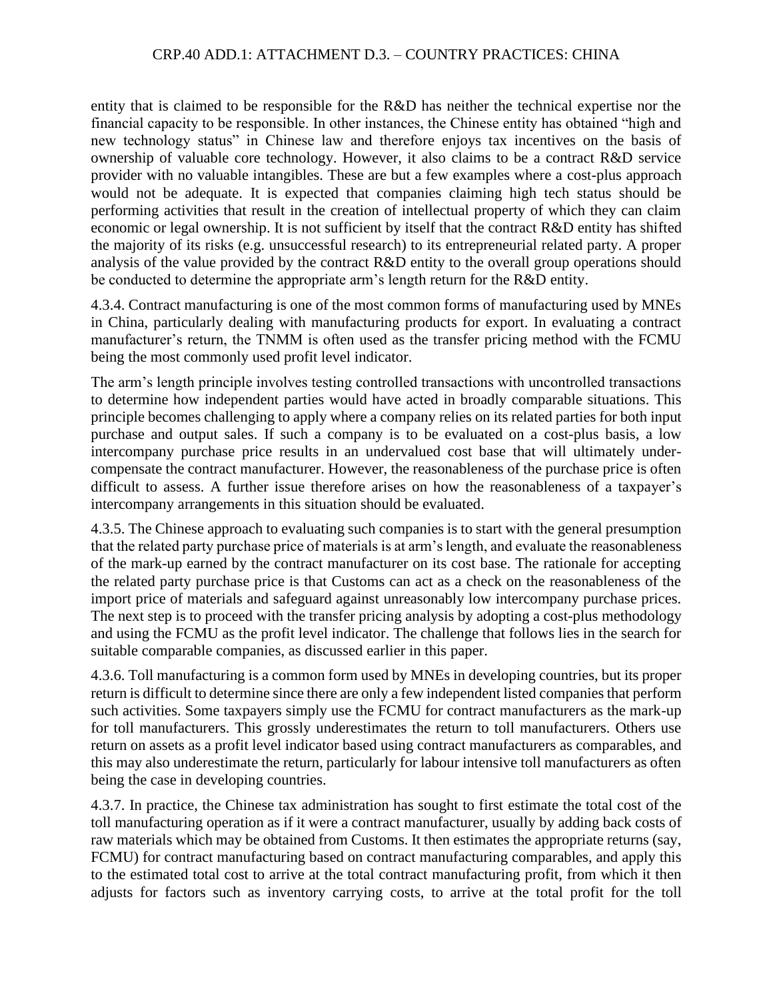entity that is claimed to be responsible for the R&D has neither the technical expertise nor the financial capacity to be responsible. In other instances, the Chinese entity has obtained "high and new technology status" in Chinese law and therefore enjoys tax incentives on the basis of ownership of valuable core technology. However, it also claims to be a contract R&D service provider with no valuable intangibles. These are but a few examples where a cost-plus approach would not be adequate. It is expected that companies claiming high tech status should be performing activities that result in the creation of intellectual property of which they can claim economic or legal ownership. It is not sufficient by itself that the contract R&D entity has shifted the majority of its risks (e.g. unsuccessful research) to its entrepreneurial related party. A proper analysis of the value provided by the contract R&D entity to the overall group operations should be conducted to determine the appropriate arm's length return for the R&D entity.

4.3.4. Contract manufacturing is one of the most common forms of manufacturing used by MNEs in China, particularly dealing with manufacturing products for export. In evaluating a contract manufacturer's return, the TNMM is often used as the transfer pricing method with the FCMU being the most commonly used profit level indicator.

The arm's length principle involves testing controlled transactions with uncontrolled transactions to determine how independent parties would have acted in broadly comparable situations. This principle becomes challenging to apply where a company relies on its related parties for both input purchase and output sales. If such a company is to be evaluated on a cost-plus basis, a low intercompany purchase price results in an undervalued cost base that will ultimately undercompensate the contract manufacturer. However, the reasonableness of the purchase price is often difficult to assess. A further issue therefore arises on how the reasonableness of a taxpayer's intercompany arrangements in this situation should be evaluated.

4.3.5. The Chinese approach to evaluating such companies is to start with the general presumption that the related party purchase price of materials is at arm's length, and evaluate the reasonableness of the mark-up earned by the contract manufacturer on its cost base. The rationale for accepting the related party purchase price is that Customs can act as a check on the reasonableness of the import price of materials and safeguard against unreasonably low intercompany purchase prices. The next step is to proceed with the transfer pricing analysis by adopting a cost-plus methodology and using the FCMU as the profit level indicator. The challenge that follows lies in the search for suitable comparable companies, as discussed earlier in this paper.

4.3.6. Toll manufacturing is a common form used by MNEs in developing countries, but its proper return is difficult to determine since there are only a few independent listed companies that perform such activities. Some taxpayers simply use the FCMU for contract manufacturers as the mark-up for toll manufacturers. This grossly underestimates the return to toll manufacturers. Others use return on assets as a profit level indicator based using contract manufacturers as comparables, and this may also underestimate the return, particularly for labour intensive toll manufacturers as often being the case in developing countries.

4.3.7. In practice, the Chinese tax administration has sought to first estimate the total cost of the toll manufacturing operation as if it were a contract manufacturer, usually by adding back costs of raw materials which may be obtained from Customs. It then estimates the appropriate returns (say, FCMU) for contract manufacturing based on contract manufacturing comparables, and apply this to the estimated total cost to arrive at the total contract manufacturing profit, from which it then adjusts for factors such as inventory carrying costs, to arrive at the total profit for the toll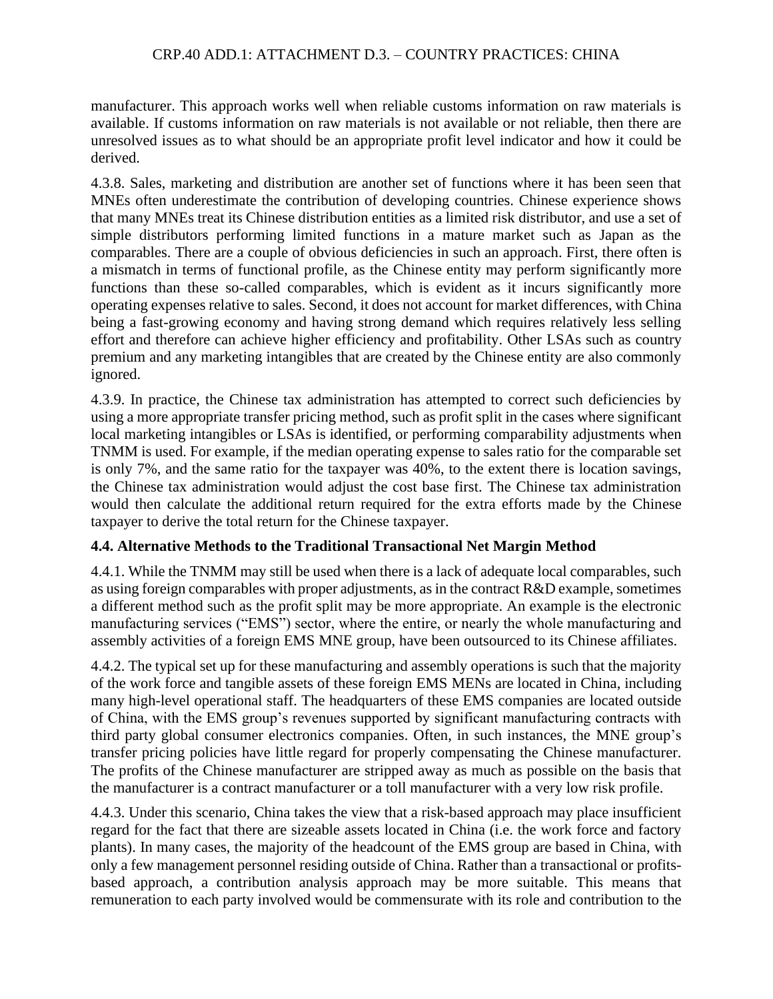manufacturer. This approach works well when reliable customs information on raw materials is available. If customs information on raw materials is not available or not reliable, then there are unresolved issues as to what should be an appropriate profit level indicator and how it could be derived.

4.3.8. Sales, marketing and distribution are another set of functions where it has been seen that MNEs often underestimate the contribution of developing countries. Chinese experience shows that many MNEs treat its Chinese distribution entities as a limited risk distributor, and use a set of simple distributors performing limited functions in a mature market such as Japan as the comparables. There are a couple of obvious deficiencies in such an approach. First, there often is a mismatch in terms of functional profile, as the Chinese entity may perform significantly more functions than these so-called comparables, which is evident as it incurs significantly more operating expenses relative to sales. Second, it does not account for market differences, with China being a fast-growing economy and having strong demand which requires relatively less selling effort and therefore can achieve higher efficiency and profitability. Other LSAs such as country premium and any marketing intangibles that are created by the Chinese entity are also commonly ignored.

4.3.9. In practice, the Chinese tax administration has attempted to correct such deficiencies by using a more appropriate transfer pricing method, such as profit split in the cases where significant local marketing intangibles or LSAs is identified, or performing comparability adjustments when TNMM is used. For example, if the median operating expense to sales ratio for the comparable set is only 7%, and the same ratio for the taxpayer was 40%, to the extent there is location savings, the Chinese tax administration would adjust the cost base first. The Chinese tax administration would then calculate the additional return required for the extra efforts made by the Chinese taxpayer to derive the total return for the Chinese taxpayer.

## **4.4. Alternative Methods to the Traditional Transactional Net Margin Method**

4.4.1. While the TNMM may still be used when there is a lack of adequate local comparables, such as using foreign comparables with proper adjustments, as in the contract R&D example, sometimes a different method such as the profit split may be more appropriate. An example is the electronic manufacturing services ("EMS") sector, where the entire, or nearly the whole manufacturing and assembly activities of a foreign EMS MNE group, have been outsourced to its Chinese affiliates.

4.4.2. The typical set up for these manufacturing and assembly operations is such that the majority of the work force and tangible assets of these foreign EMS MENs are located in China, including many high-level operational staff. The headquarters of these EMS companies are located outside of China, with the EMS group's revenues supported by significant manufacturing contracts with third party global consumer electronics companies. Often, in such instances, the MNE group's transfer pricing policies have little regard for properly compensating the Chinese manufacturer. The profits of the Chinese manufacturer are stripped away as much as possible on the basis that the manufacturer is a contract manufacturer or a toll manufacturer with a very low risk profile.

4.4.3. Under this scenario, China takes the view that a risk-based approach may place insufficient regard for the fact that there are sizeable assets located in China (i.e. the work force and factory plants). In many cases, the majority of the headcount of the EMS group are based in China, with only a few management personnel residing outside of China. Rather than a transactional or profitsbased approach, a contribution analysis approach may be more suitable. This means that remuneration to each party involved would be commensurate with its role and contribution to the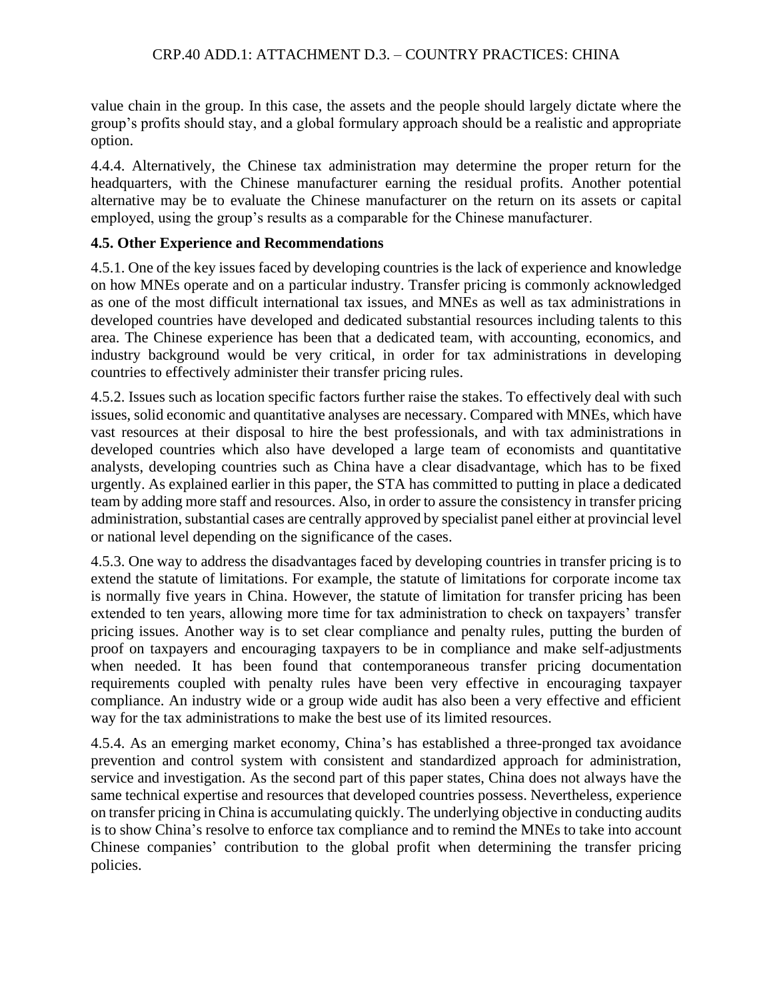value chain in the group. In this case, the assets and the people should largely dictate where the group's profits should stay, and a global formulary approach should be a realistic and appropriate option.

4.4.4. Alternatively, the Chinese tax administration may determine the proper return for the headquarters, with the Chinese manufacturer earning the residual profits. Another potential alternative may be to evaluate the Chinese manufacturer on the return on its assets or capital employed, using the group's results as a comparable for the Chinese manufacturer.

## **4.5. Other Experience and Recommendations**

4.5.1. One of the key issues faced by developing countries is the lack of experience and knowledge on how MNEs operate and on a particular industry. Transfer pricing is commonly acknowledged as one of the most difficult international tax issues, and MNEs as well as tax administrations in developed countries have developed and dedicated substantial resources including talents to this area. The Chinese experience has been that a dedicated team, with accounting, economics, and industry background would be very critical, in order for tax administrations in developing countries to effectively administer their transfer pricing rules.

4.5.2. Issues such as location specific factors further raise the stakes. To effectively deal with such issues, solid economic and quantitative analyses are necessary. Compared with MNEs, which have vast resources at their disposal to hire the best professionals, and with tax administrations in developed countries which also have developed a large team of economists and quantitative analysts, developing countries such as China have a clear disadvantage, which has to be fixed urgently. As explained earlier in this paper, the STA has committed to putting in place a dedicated team by adding more staff and resources. Also, in order to assure the consistency in transfer pricing administration, substantial cases are centrally approved by specialist panel either at provincial level or national level depending on the significance of the cases.

4.5.3. One way to address the disadvantages faced by developing countries in transfer pricing is to extend the statute of limitations. For example, the statute of limitations for corporate income tax is normally five years in China. However, the statute of limitation for transfer pricing has been extended to ten years, allowing more time for tax administration to check on taxpayers' transfer pricing issues. Another way is to set clear compliance and penalty rules, putting the burden of proof on taxpayers and encouraging taxpayers to be in compliance and make self-adjustments when needed. It has been found that contemporaneous transfer pricing documentation requirements coupled with penalty rules have been very effective in encouraging taxpayer compliance. An industry wide or a group wide audit has also been a very effective and efficient way for the tax administrations to make the best use of its limited resources.

4.5.4. As an emerging market economy, China's has established a three-pronged tax avoidance prevention and control system with consistent and standardized approach for administration, service and investigation. As the second part of this paper states, China does not always have the same technical expertise and resources that developed countries possess. Nevertheless, experience on transfer pricing in China is accumulating quickly. The underlying objective in conducting audits is to show China's resolve to enforce tax compliance and to remind the MNEs to take into account Chinese companies' contribution to the global profit when determining the transfer pricing policies.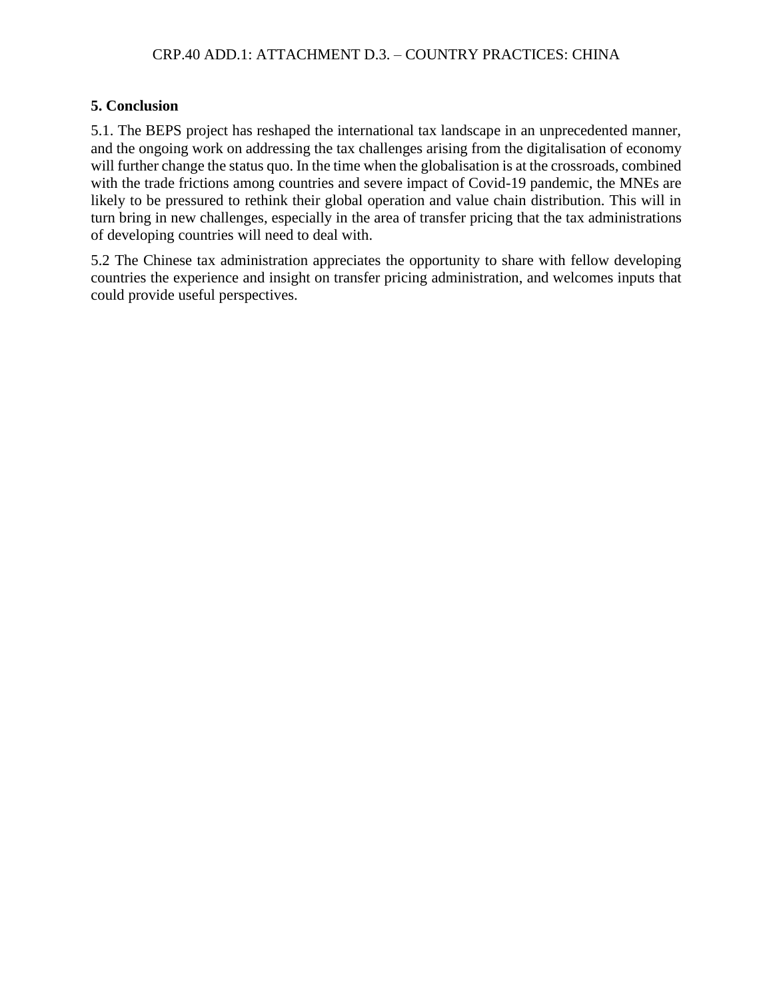# **5. Conclusion**

5.1. The BEPS project has reshaped the international tax landscape in an unprecedented manner, and the ongoing work on addressing the tax challenges arising from the digitalisation of economy will further change the status quo. In the time when the globalisation is at the crossroads, combined with the trade frictions among countries and severe impact of Covid-19 pandemic, the MNEs are likely to be pressured to rethink their global operation and value chain distribution. This will in turn bring in new challenges, especially in the area of transfer pricing that the tax administrations of developing countries will need to deal with.

5.2 The Chinese tax administration appreciates the opportunity to share with fellow developing countries the experience and insight on transfer pricing administration, and welcomes inputs that could provide useful perspectives.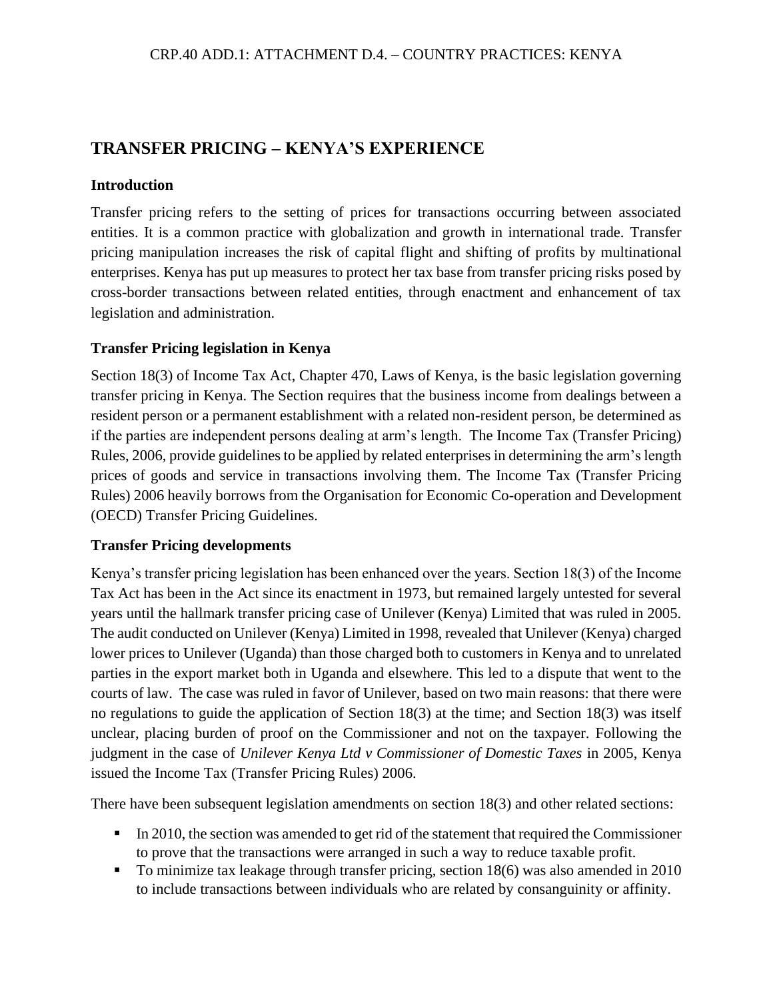# **TRANSFER PRICING – KENYA'S EXPERIENCE**

#### **Introduction**

Transfer pricing refers to the setting of prices for transactions occurring between associated entities. It is a common practice with globalization and growth in international trade. Transfer pricing manipulation increases the risk of capital flight and shifting of profits by multinational enterprises. Kenya has put up measures to protect her tax base from transfer pricing risks posed by cross-border transactions between related entities, through enactment and enhancement of tax legislation and administration.

#### **Transfer Pricing legislation in Kenya**

Section 18(3) of Income Tax Act, Chapter 470, Laws of Kenya, is the basic legislation governing transfer pricing in Kenya. The Section requires that the business income from dealings between a resident person or a permanent establishment with a related non-resident person, be determined as if the parties are independent persons dealing at arm's length. The Income Tax (Transfer Pricing) Rules, 2006, provide guidelines to be applied by related enterprises in determining the arm's length prices of goods and service in transactions involving them. The Income Tax (Transfer Pricing Rules) 2006 heavily borrows from the Organisation for Economic Co-operation and Development (OECD) Transfer Pricing Guidelines.

#### **Transfer Pricing developments**

Kenya's transfer pricing legislation has been enhanced over the years. Section 18(3) of the Income Tax Act has been in the Act since its enactment in 1973, but remained largely untested for several years until the hallmark transfer pricing case of Unilever (Kenya) Limited that was ruled in 2005. The audit conducted on Unilever (Kenya) Limited in 1998, revealed that Unilever (Kenya) charged lower prices to Unilever (Uganda) than those charged both to customers in Kenya and to unrelated parties in the export market both in Uganda and elsewhere. This led to a dispute that went to the courts of law. The case was ruled in favor of Unilever, based on two main reasons: that there were no regulations to guide the application of Section 18(3) at the time; and Section 18(3) was itself unclear, placing burden of proof on the Commissioner and not on the taxpayer. Following the judgment in the case of *Unilever Kenya Ltd v Commissioner of Domestic Taxes* in 2005, Kenya issued the Income Tax (Transfer Pricing Rules) 2006.

There have been subsequent legislation amendments on section 18(3) and other related sections:

- **IF** In 2010, the section was amended to get rid of the statement that required the Commissioner to prove that the transactions were arranged in such a way to reduce taxable profit.
- To minimize tax leakage through transfer pricing, section 18(6) was also amended in 2010 to include transactions between individuals who are related by consanguinity or affinity.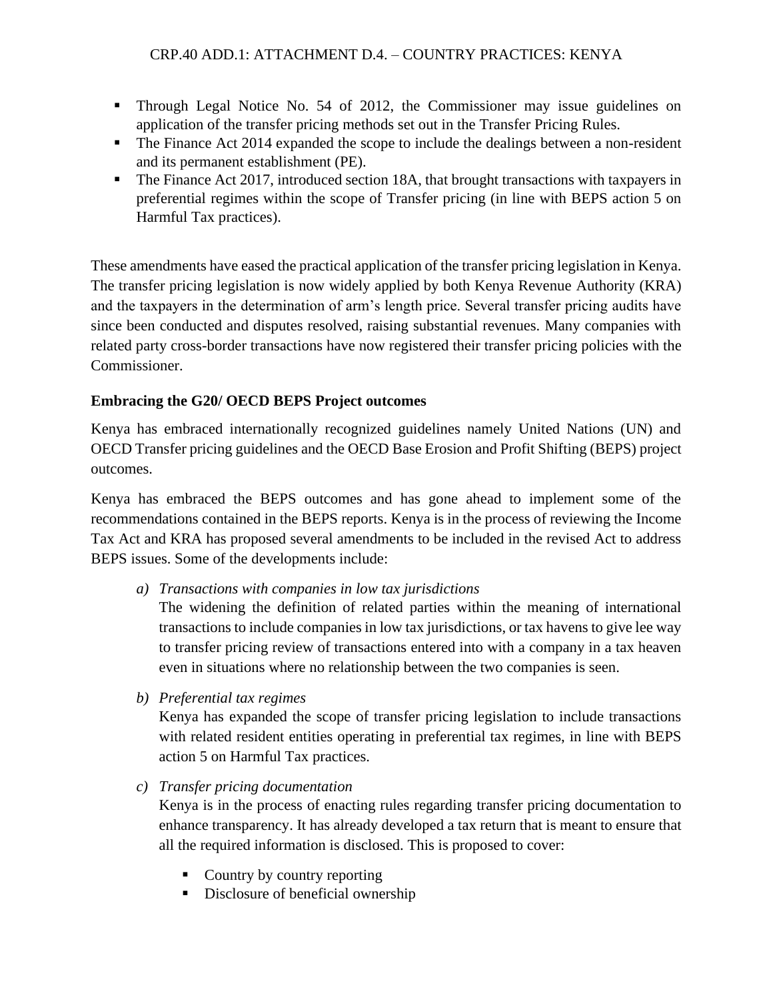- Through Legal Notice No. 54 of 2012, the Commissioner may issue guidelines on application of the transfer pricing methods set out in the Transfer Pricing Rules.
- The Finance Act 2014 expanded the scope to include the dealings between a non-resident and its permanent establishment (PE).
- The Finance Act 2017, introduced section 18A, that brought transactions with taxpayers in preferential regimes within the scope of Transfer pricing (in line with BEPS action 5 on Harmful Tax practices).

These amendments have eased the practical application of the transfer pricing legislation in Kenya. The transfer pricing legislation is now widely applied by both Kenya Revenue Authority (KRA) and the taxpayers in the determination of arm's length price. Several transfer pricing audits have since been conducted and disputes resolved, raising substantial revenues. Many companies with related party cross-border transactions have now registered their transfer pricing policies with the Commissioner.

# **Embracing the G20/ OECD BEPS Project outcomes**

Kenya has embraced internationally recognized guidelines namely United Nations (UN) and OECD Transfer pricing guidelines and the OECD Base Erosion and Profit Shifting (BEPS) project outcomes.

Kenya has embraced the BEPS outcomes and has gone ahead to implement some of the recommendations contained in the BEPS reports. Kenya is in the process of reviewing the Income Tax Act and KRA has proposed several amendments to be included in the revised Act to address BEPS issues. Some of the developments include:

*a) Transactions with companies in low tax jurisdictions*

The widening the definition of related parties within the meaning of international transactions to include companies in low tax jurisdictions, or tax havens to give lee way to transfer pricing review of transactions entered into with a company in a tax heaven even in situations where no relationship between the two companies is seen.

*b) Preferential tax regimes*

Kenya has expanded the scope of transfer pricing legislation to include transactions with related resident entities operating in preferential tax regimes, in line with BEPS action 5 on Harmful Tax practices.

## *c) Transfer pricing documentation*

Kenya is in the process of enacting rules regarding transfer pricing documentation to enhance transparency. It has already developed a tax return that is meant to ensure that all the required information is disclosed. This is proposed to cover:

- Country by country reporting
- Disclosure of beneficial ownership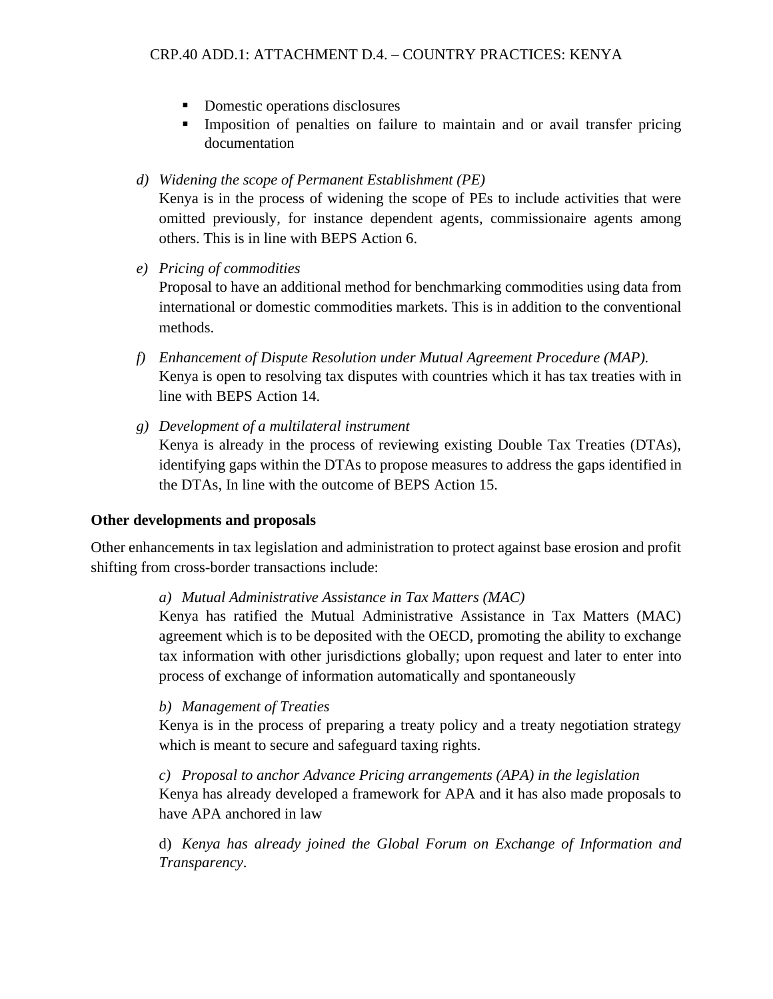- Domestic operations disclosures
- **Imposition of penalties on failure to maintain and or avail transfer pricing** documentation
- *d) Widening the scope of Permanent Establishment (PE)*

Kenya is in the process of widening the scope of PEs to include activities that were omitted previously, for instance dependent agents, commissionaire agents among others. This is in line with BEPS Action 6.

*e) Pricing of commodities*

Proposal to have an additional method for benchmarking commodities using data from international or domestic commodities markets. This is in addition to the conventional methods.

- *f) Enhancement of Dispute Resolution under Mutual Agreement Procedure (MAP).* Kenya is open to resolving tax disputes with countries which it has tax treaties with in line with BEPS Action 14.
- *g) Development of a multilateral instrument* Kenya is already in the process of reviewing existing Double Tax Treaties (DTAs), identifying gaps within the DTAs to propose measures to address the gaps identified in the DTAs, In line with the outcome of BEPS Action 15.

#### **Other developments and proposals**

Other enhancements in tax legislation and administration to protect against base erosion and profit shifting from cross-border transactions include:

#### *a) Mutual Administrative Assistance in Tax Matters (MAC)*

Kenya has ratified the Mutual Administrative Assistance in Tax Matters (MAC) agreement which is to be deposited with the OECD, promoting the ability to exchange tax information with other jurisdictions globally; upon request and later to enter into process of exchange of information automatically and spontaneously

#### *b) Management of Treaties*

Kenya is in the process of preparing a treaty policy and a treaty negotiation strategy which is meant to secure and safeguard taxing rights.

*c) Proposal to anchor Advance Pricing arrangements (APA) in the legislation* Kenya has already developed a framework for APA and it has also made proposals to have APA anchored in law

d) *Kenya has already joined the Global Forum on Exchange of Information and Transparency*.